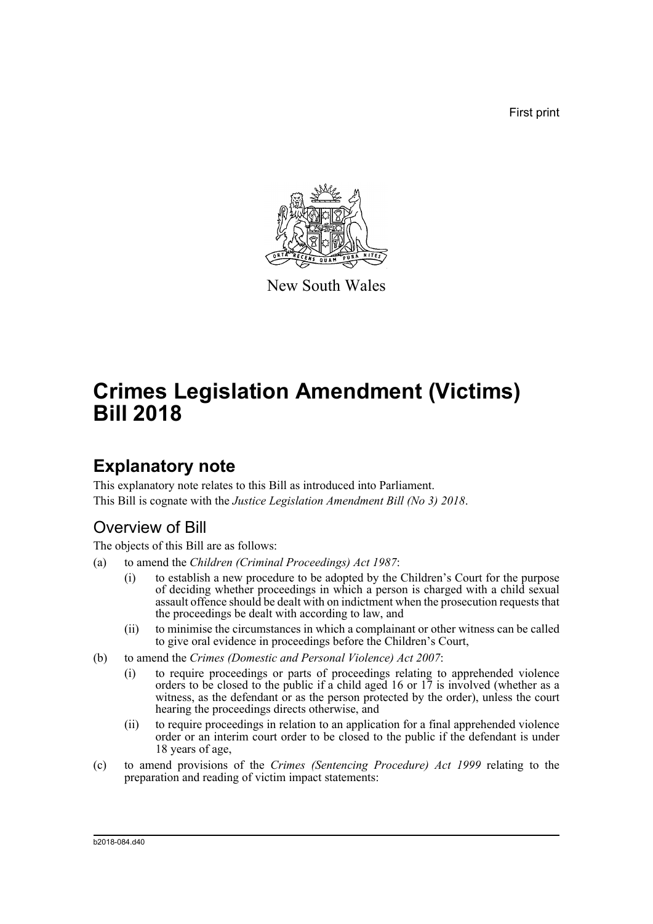First print



New South Wales

# **Crimes Legislation Amendment (Victims) Bill 2018**

# **Explanatory note**

This explanatory note relates to this Bill as introduced into Parliament. This Bill is cognate with the *Justice Legislation Amendment Bill (No 3) 2018*.

# Overview of Bill

The objects of this Bill are as follows:

- (a) to amend the *Children (Criminal Proceedings) Act 1987*:
	- (i) to establish a new procedure to be adopted by the Children's Court for the purpose of deciding whether proceedings in which a person is charged with a child sexual assault offence should be dealt with on indictment when the prosecution requests that the proceedings be dealt with according to law, and
	- (ii) to minimise the circumstances in which a complainant or other witness can be called to give oral evidence in proceedings before the Children's Court,
- (b) to amend the *Crimes (Domestic and Personal Violence) Act 2007*:
	- (i) to require proceedings or parts of proceedings relating to apprehended violence orders to be closed to the public if a child aged 16 or 17 is involved (whether as a witness, as the defendant or as the person protected by the order), unless the court hearing the proceedings directs otherwise, and
	- (ii) to require proceedings in relation to an application for a final apprehended violence order or an interim court order to be closed to the public if the defendant is under 18 years of age,
- (c) to amend provisions of the *Crimes (Sentencing Procedure) Act 1999* relating to the preparation and reading of victim impact statements:

b2018-084.d40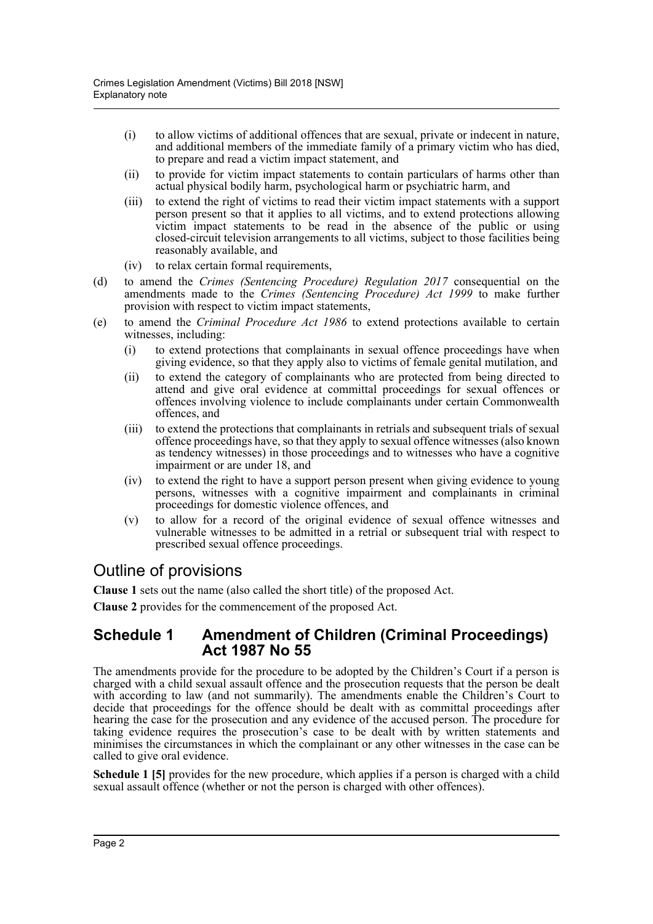- (i) to allow victims of additional offences that are sexual, private or indecent in nature, and additional members of the immediate family of a primary victim who has died, to prepare and read a victim impact statement, and
- (ii) to provide for victim impact statements to contain particulars of harms other than actual physical bodily harm, psychological harm or psychiatric harm, and
- (iii) to extend the right of victims to read their victim impact statements with a support person present so that it applies to all victims, and to extend protections allowing victim impact statements to be read in the absence of the public or using closed-circuit television arrangements to all victims, subject to those facilities being reasonably available, and
- (iv) to relax certain formal requirements,
- (d) to amend the *Crimes (Sentencing Procedure) Regulation 2017* consequential on the amendments made to the *Crimes (Sentencing Procedure) Act 1999* to make further provision with respect to victim impact statements,
- (e) to amend the *Criminal Procedure Act 1986* to extend protections available to certain witnesses, including:
	- (i) to extend protections that complainants in sexual offence proceedings have when giving evidence, so that they apply also to victims of female genital mutilation, and
	- (ii) to extend the category of complainants who are protected from being directed to attend and give oral evidence at committal proceedings for sexual offences or offences involving violence to include complainants under certain Commonwealth offences, and
	- (iii) to extend the protections that complainants in retrials and subsequent trials of sexual offence proceedings have, so that they apply to sexual offence witnesses (also known as tendency witnesses) in those proceedings and to witnesses who have a cognitive impairment or are under 18, and
	- (iv) to extend the right to have a support person present when giving evidence to young persons, witnesses with a cognitive impairment and complainants in criminal proceedings for domestic violence offences, and
	- (v) to allow for a record of the original evidence of sexual offence witnesses and vulnerable witnesses to be admitted in a retrial or subsequent trial with respect to prescribed sexual offence proceedings.

# Outline of provisions

**Clause 1** sets out the name (also called the short title) of the proposed Act.

**Clause 2** provides for the commencement of the proposed Act.

## **Schedule 1 Amendment of Children (Criminal Proceedings) Act 1987 No 55**

The amendments provide for the procedure to be adopted by the Children's Court if a person is charged with a child sexual assault offence and the prosecution requests that the person be dealt with according to law (and not summarily). The amendments enable the Children's Court to decide that proceedings for the offence should be dealt with as committal proceedings after hearing the case for the prosecution and any evidence of the accused person. The procedure for taking evidence requires the prosecution's case to be dealt with by written statements and minimises the circumstances in which the complainant or any other witnesses in the case can be called to give oral evidence.

**Schedule 1 [5]** provides for the new procedure, which applies if a person is charged with a child sexual assault offence (whether or not the person is charged with other offences).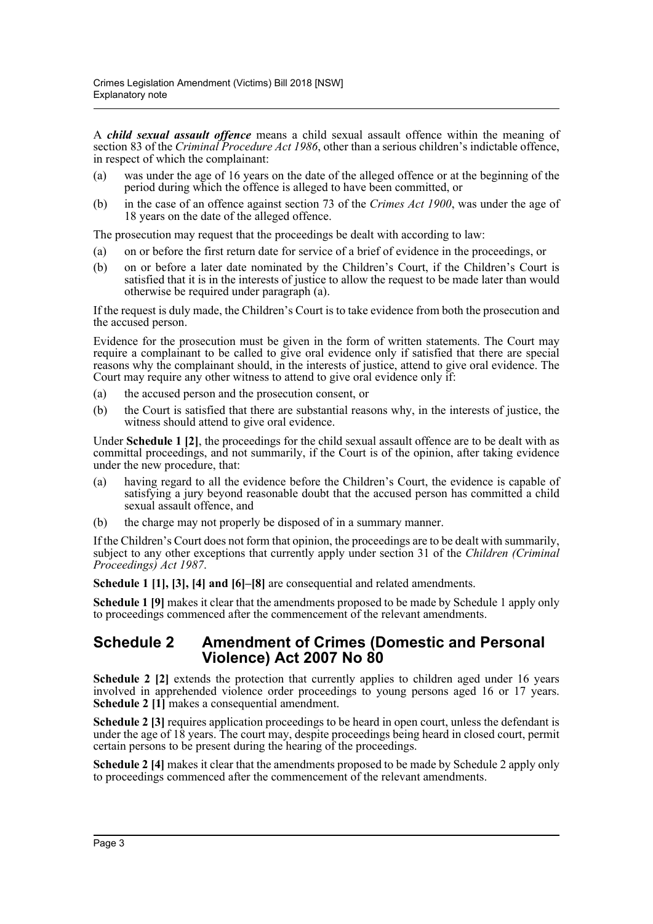A *child sexual assault offence* means a child sexual assault offence within the meaning of section 83 of the *Criminal Procedure Act 1986*, other than a serious children's indictable offence, in respect of which the complainant:

- (a) was under the age of 16 years on the date of the alleged offence or at the beginning of the period during which the offence is alleged to have been committed, or
- (b) in the case of an offence against section 73 of the *Crimes Act 1900*, was under the age of 18 years on the date of the alleged offence.

The prosecution may request that the proceedings be dealt with according to law:

- (a) on or before the first return date for service of a brief of evidence in the proceedings, or
- (b) on or before a later date nominated by the Children's Court, if the Children's Court is satisfied that it is in the interests of justice to allow the request to be made later than would otherwise be required under paragraph (a).

If the request is duly made, the Children's Court is to take evidence from both the prosecution and the accused person.

Evidence for the prosecution must be given in the form of written statements. The Court may require a complainant to be called to give oral evidence only if satisfied that there are special reasons why the complainant should, in the interests of justice, attend to give oral evidence. The Court may require any other witness to attend to give oral evidence only if:

- (a) the accused person and the prosecution consent, or
- (b) the Court is satisfied that there are substantial reasons why, in the interests of justice, the witness should attend to give oral evidence.

Under **Schedule 1 [2]**, the proceedings for the child sexual assault offence are to be dealt with as committal proceedings, and not summarily, if the Court is of the opinion, after taking evidence under the new procedure, that:

- (a) having regard to all the evidence before the Children's Court, the evidence is capable of satisfying a jury beyond reasonable doubt that the accused person has committed a child sexual assault offence, and
- (b) the charge may not properly be disposed of in a summary manner.

If the Children's Court does not form that opinion, the proceedings are to be dealt with summarily, subject to any other exceptions that currently apply under section 31 of the *Children (Criminal Proceedings) Act 1987*.

**Schedule 1 [1], [3], [4] and [6]–[8]** are consequential and related amendments.

**Schedule 1 [9]** makes it clear that the amendments proposed to be made by Schedule 1 apply only to proceedings commenced after the commencement of the relevant amendments.

## **Schedule 2 Amendment of Crimes (Domestic and Personal Violence) Act 2007 No 80**

**Schedule 2 [2]** extends the protection that currently applies to children aged under 16 years involved in apprehended violence order proceedings to young persons aged 16 or 17 years. **Schedule 2 [1]** makes a consequential amendment.

**Schedule 2 [3]** requires application proceedings to be heard in open court, unless the defendant is under the age of 18 years. The court may, despite proceedings being heard in closed court, permit certain persons to be present during the hearing of the proceedings.

**Schedule 2 [4]** makes it clear that the amendments proposed to be made by Schedule 2 apply only to proceedings commenced after the commencement of the relevant amendments.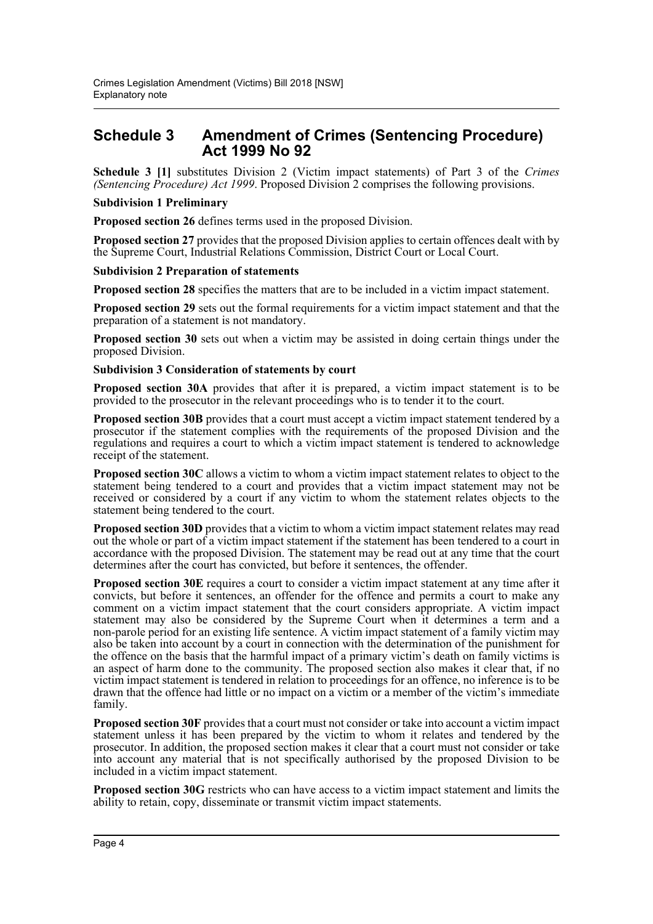# **Schedule 3 Amendment of Crimes (Sentencing Procedure) Act 1999 No 92**

**Schedule 3 [1]** substitutes Division 2 (Victim impact statements) of Part 3 of the *Crimes (Sentencing Procedure) Act 1999*. Proposed Division 2 comprises the following provisions.

### **Subdivision 1 Preliminary**

**Proposed section 26** defines terms used in the proposed Division.

**Proposed section 27** provides that the proposed Division applies to certain offences dealt with by the Supreme Court, Industrial Relations Commission, District Court or Local Court.

#### **Subdivision 2 Preparation of statements**

**Proposed section 28** specifies the matters that are to be included in a victim impact statement.

**Proposed section 29** sets out the formal requirements for a victim impact statement and that the preparation of a statement is not mandatory.

**Proposed section 30** sets out when a victim may be assisted in doing certain things under the proposed Division.

#### **Subdivision 3 Consideration of statements by court**

**Proposed section 30A** provides that after it is prepared, a victim impact statement is to be provided to the prosecutor in the relevant proceedings who is to tender it to the court.

**Proposed section 30B** provides that a court must accept a victim impact statement tendered by a prosecutor if the statement complies with the requirements of the proposed Division and the regulations and requires a court to which a victim impact statement is tendered to acknowledge receipt of the statement.

**Proposed section 30C** allows a victim to whom a victim impact statement relates to object to the statement being tendered to a court and provides that a victim impact statement may not be received or considered by a court if any victim to whom the statement relates objects to the statement being tendered to the court.

**Proposed section 30D** provides that a victim to whom a victim impact statement relates may read out the whole or part of a victim impact statement if the statement has been tendered to a court in accordance with the proposed Division. The statement may be read out at any time that the court determines after the court has convicted, but before it sentences, the offender.

**Proposed section 30E** requires a court to consider a victim impact statement at any time after it convicts, but before it sentences, an offender for the offence and permits a court to make any comment on a victim impact statement that the court considers appropriate. A victim impact statement may also be considered by the Supreme Court when it determines a term and a non-parole period for an existing life sentence. A victim impact statement of a family victim may also be taken into account by a court in connection with the determination of the punishment for the offence on the basis that the harmful impact of a primary victim's death on family victims is an aspect of harm done to the community. The proposed section also makes it clear that, if no victim impact statement is tendered in relation to proceedings for an offence, no inference is to be drawn that the offence had little or no impact on a victim or a member of the victim's immediate family.

**Proposed section 30F** provides that a court must not consider or take into account a victim impact statement unless it has been prepared by the victim to whom it relates and tendered by the prosecutor. In addition, the proposed section makes it clear that a court must not consider or take into account any material that is not specifically authorised by the proposed Division to be included in a victim impact statement.

**Proposed section 30G** restricts who can have access to a victim impact statement and limits the ability to retain, copy, disseminate or transmit victim impact statements.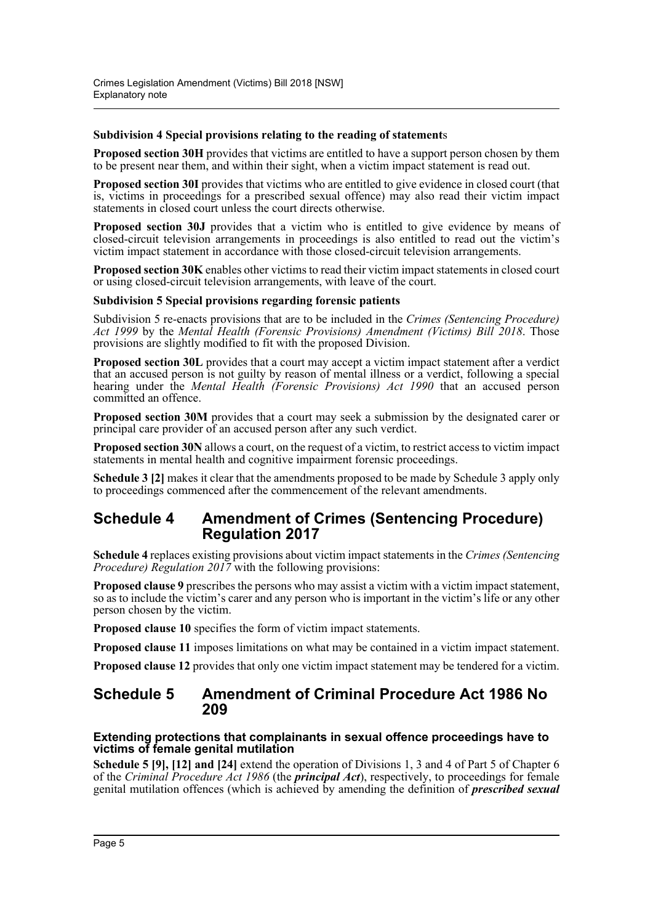## **Subdivision 4 Special provisions relating to the reading of statement**s

**Proposed section 30H** provides that victims are entitled to have a support person chosen by them to be present near them, and within their sight, when a victim impact statement is read out.

**Proposed section 30I** provides that victims who are entitled to give evidence in closed court (that is, victims in proceedings for a prescribed sexual offence) may also read their victim impact statements in closed court unless the court directs otherwise.

**Proposed section 30J** provides that a victim who is entitled to give evidence by means of closed-circuit television arrangements in proceedings is also entitled to read out the victim's victim impact statement in accordance with those closed-circuit television arrangements.

**Proposed section 30K** enables other victims to read their victim impact statements in closed court or using closed-circuit television arrangements, with leave of the court.

### **Subdivision 5 Special provisions regarding forensic patients**

Subdivision 5 re-enacts provisions that are to be included in the *Crimes (Sentencing Procedure) Act 1999* by the *Mental Health (Forensic Provisions) Amendment (Victims) Bill 2018*. Those provisions are slightly modified to fit with the proposed Division.

**Proposed section 30L** provides that a court may accept a victim impact statement after a verdict that an accused person is not guilty by reason of mental illness or a verdict, following a special hearing under the *Mental Health (Forensic Provisions) Act 1990* that an accused person committed an offence.

**Proposed section 30M** provides that a court may seek a submission by the designated carer or principal care provider of an accused person after any such verdict.

**Proposed section 30N** allows a court, on the request of a victim, to restrict access to victim impact statements in mental health and cognitive impairment forensic proceedings.

**Schedule 3 [2]** makes it clear that the amendments proposed to be made by Schedule 3 apply only to proceedings commenced after the commencement of the relevant amendments.

## **Schedule 4 Amendment of Crimes (Sentencing Procedure) Regulation 2017**

**Schedule 4** replaces existing provisions about victim impact statements in the *Crimes (Sentencing Procedure) Regulation 2017* with the following provisions:

**Proposed clause 9** prescribes the persons who may assist a victim with a victim impact statement, so as to include the victim's carer and any person who is important in the victim's life or any other person chosen by the victim.

**Proposed clause 10** specifies the form of victim impact statements.

**Proposed clause 11** imposes limitations on what may be contained in a victim impact statement.

**Proposed clause 12** provides that only one victim impact statement may be tendered for a victim.

## **Schedule 5 Amendment of Criminal Procedure Act 1986 No 209**

### **Extending protections that complainants in sexual offence proceedings have to victims of female genital mutilation**

**Schedule 5 [9], [12] and [24]** extend the operation of Divisions 1, 3 and 4 of Part 5 of Chapter 6 of the *Criminal Procedure Act 1986* (the *principal Act*), respectively, to proceedings for female genital mutilation offences (which is achieved by amending the definition of *prescribed sexual*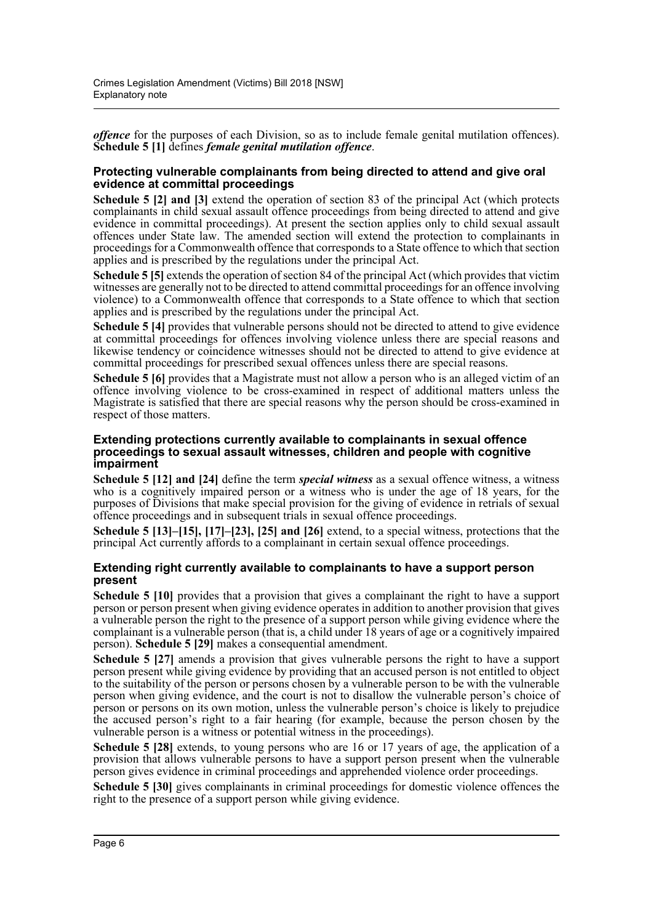*offence* for the purposes of each Division, so as to include female genital mutilation offences). **Schedule 5 [1]** defines *female genital mutilation offence*.

## **Protecting vulnerable complainants from being directed to attend and give oral evidence at committal proceedings**

**Schedule 5 [2] and [3]** extend the operation of section 83 of the principal Act (which protects complainants in child sexual assault offence proceedings from being directed to attend and give evidence in committal proceedings). At present the section applies only to child sexual assault offences under State law. The amended section will extend the protection to complainants in proceedings for a Commonwealth offence that corresponds to a State offence to which that section applies and is prescribed by the regulations under the principal Act.

**Schedule 5 [5]** extends the operation of section 84 of the principal Act (which provides that victim witnesses are generally not to be directed to attend committal proceedings for an offence involving violence) to a Commonwealth offence that corresponds to a State offence to which that section applies and is prescribed by the regulations under the principal Act.

**Schedule 5 [4]** provides that vulnerable persons should not be directed to attend to give evidence at committal proceedings for offences involving violence unless there are special reasons and likewise tendency or coincidence witnesses should not be directed to attend to give evidence at committal proceedings for prescribed sexual offences unless there are special reasons.

**Schedule 5 [6]** provides that a Magistrate must not allow a person who is an alleged victim of an offence involving violence to be cross-examined in respect of additional matters unless the Magistrate is satisfied that there are special reasons why the person should be cross-examined in respect of those matters.

## **Extending protections currently available to complainants in sexual offence proceedings to sexual assault witnesses, children and people with cognitive impairment**

**Schedule 5 [12] and [24]** define the term *special witness* as a sexual offence witness, a witness who is a cognitively impaired person or a witness who is under the age of 18 years, for the purposes of Divisions that make special provision for the giving of evidence in retrials of sexual offence proceedings and in subsequent trials in sexual offence proceedings.

**Schedule 5 [13]–[15], [17]–[23], [25] and [26]** extend, to a special witness, protections that the principal Act currently affords to a complainant in certain sexual offence proceedings.

## **Extending right currently available to complainants to have a support person present**

**Schedule 5 [10]** provides that a provision that gives a complainant the right to have a support person or person present when giving evidence operates in addition to another provision that gives a vulnerable person the right to the presence of a support person while giving evidence where the complainant is a vulnerable person (that is, a child under 18 years of age or a cognitively impaired person). **Schedule 5 [29]** makes a consequential amendment.

**Schedule 5 [27]** amends a provision that gives vulnerable persons the right to have a support person present while giving evidence by providing that an accused person is not entitled to object to the suitability of the person or persons chosen by a vulnerable person to be with the vulnerable person when giving evidence, and the court is not to disallow the vulnerable person's choice of person or persons on its own motion, unless the vulnerable person's choice is likely to prejudice the accused person's right to a fair hearing (for example, because the person chosen by the vulnerable person is a witness or potential witness in the proceedings).

**Schedule 5 [28]** extends, to young persons who are 16 or 17 years of age, the application of a provision that allows vulnerable persons to have a support person present when the vulnerable person gives evidence in criminal proceedings and apprehended violence order proceedings.

**Schedule 5 [30]** gives complainants in criminal proceedings for domestic violence offences the right to the presence of a support person while giving evidence.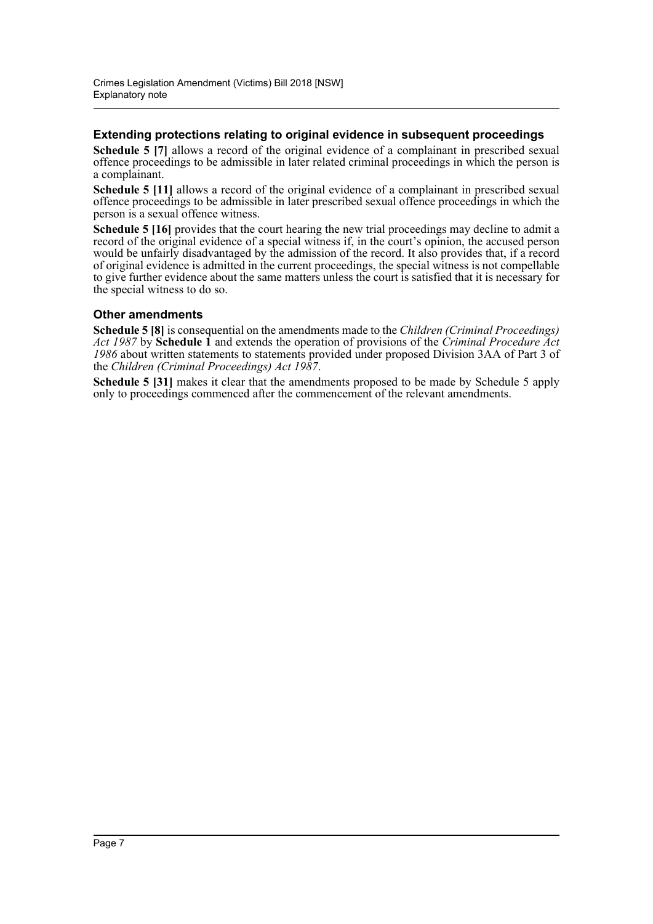## **Extending protections relating to original evidence in subsequent proceedings**

**Schedule 5 [7]** allows a record of the original evidence of a complainant in prescribed sexual offence proceedings to be admissible in later related criminal proceedings in which the person is a complainant.

**Schedule 5 [11]** allows a record of the original evidence of a complainant in prescribed sexual offence proceedings to be admissible in later prescribed sexual offence proceedings in which the person is a sexual offence witness.

**Schedule 5 [16]** provides that the court hearing the new trial proceedings may decline to admit a record of the original evidence of a special witness if, in the court's opinion, the accused person would be unfairly disadvantaged by the admission of the record. It also provides that, if a record of original evidence is admitted in the current proceedings, the special witness is not compellable to give further evidence about the same matters unless the court is satisfied that it is necessary for the special witness to do so.

## **Other amendments**

**Schedule 5 [8]** is consequential on the amendments made to the *Children (Criminal Proceedings) Act 1987* by **Schedule 1** and extends the operation of provisions of the *Criminal Procedure Act 1986* about written statements to statements provided under proposed Division 3AA of Part 3 of the *Children (Criminal Proceedings) Act 1987*.

**Schedule 5 [31]** makes it clear that the amendments proposed to be made by Schedule 5 apply only to proceedings commenced after the commencement of the relevant amendments.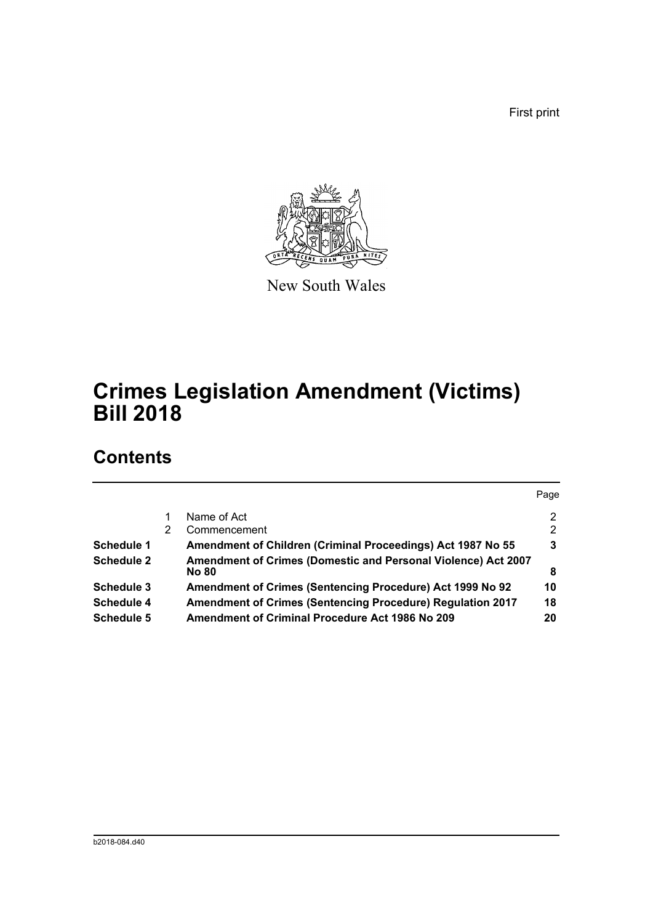First print



New South Wales

# **Crimes Legislation Amendment (Victims) Bill 2018**

# **Contents**

|   |                                                                               | Page |
|---|-------------------------------------------------------------------------------|------|
|   | Name of Act                                                                   | 2    |
| 2 | Commencement                                                                  | 2    |
|   | Amendment of Children (Criminal Proceedings) Act 1987 No 55                   | 3    |
|   | Amendment of Crimes (Domestic and Personal Violence) Act 2007<br><b>No 80</b> | 8    |
|   | Amendment of Crimes (Sentencing Procedure) Act 1999 No 92                     | 10   |
|   | <b>Amendment of Crimes (Sentencing Procedure) Regulation 2017</b>             | 18   |
|   | <b>Amendment of Criminal Procedure Act 1986 No 209</b>                        | 20   |
|   |                                                                               |      |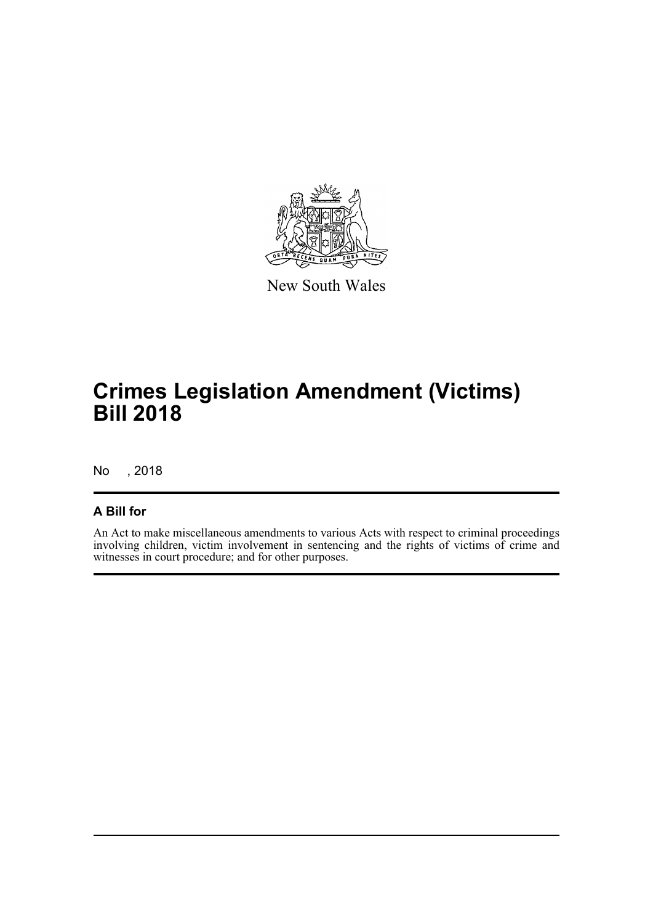

New South Wales

# **Crimes Legislation Amendment (Victims) Bill 2018**

No , 2018

## **A Bill for**

An Act to make miscellaneous amendments to various Acts with respect to criminal proceedings involving children, victim involvement in sentencing and the rights of victims of crime and witnesses in court procedure; and for other purposes.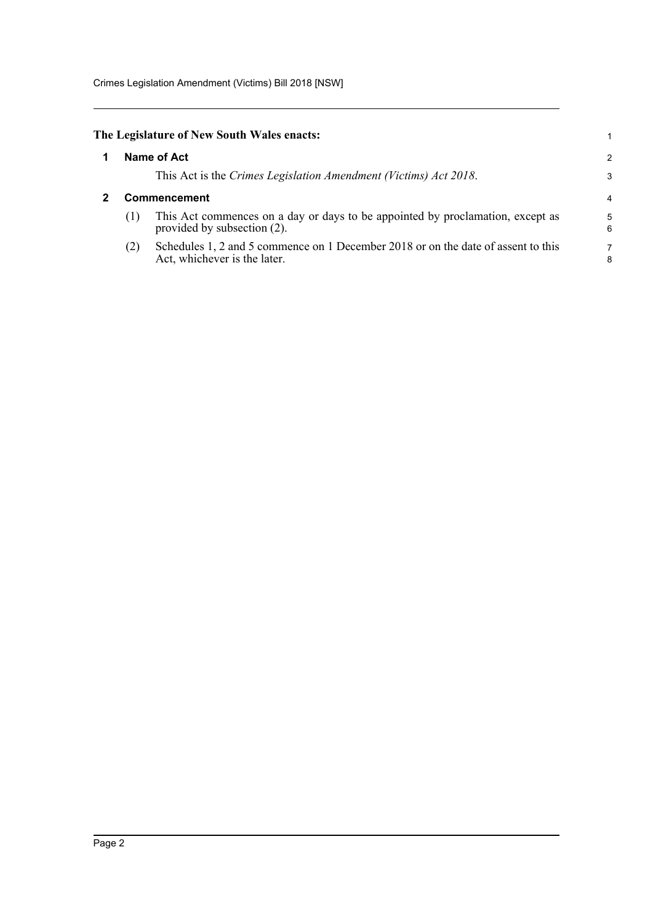Crimes Legislation Amendment (Victims) Bill 2018 [NSW]

<span id="page-9-1"></span><span id="page-9-0"></span>

|              | The Legislature of New South Wales enacts:                                                                        |   |  |  |
|--------------|-------------------------------------------------------------------------------------------------------------------|---|--|--|
| Name of Act  |                                                                                                                   |   |  |  |
|              | This Act is the Crimes Legislation Amendment (Victims) Act 2018.                                                  |   |  |  |
| Commencement |                                                                                                                   |   |  |  |
| (1)          | This Act commences on a day or days to be appointed by proclamation, except as<br>provided by subsection (2).     | Е |  |  |
| (2)          | Schedules 1, 2 and 5 commence on 1 December 2018 or on the date of assent to this<br>Act, whichever is the later. | ٤ |  |  |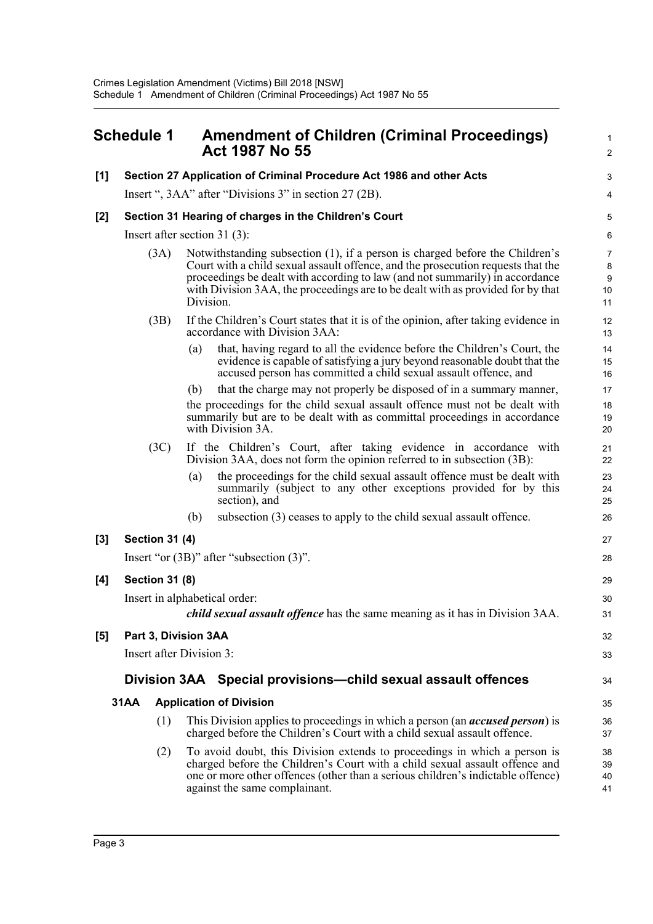<span id="page-10-0"></span>

| <b>Schedule 1</b> |             |                                 | <b>Amendment of Children (Criminal Proceedings)</b><br><b>Act 1987 No 55</b> |                                                                                                                                                                                                                                                                                                                                     |                            |  |  |  |  |
|-------------------|-------------|---------------------------------|------------------------------------------------------------------------------|-------------------------------------------------------------------------------------------------------------------------------------------------------------------------------------------------------------------------------------------------------------------------------------------------------------------------------------|----------------------------|--|--|--|--|
| [1]               |             |                                 |                                                                              | Section 27 Application of Criminal Procedure Act 1986 and other Acts                                                                                                                                                                                                                                                                | З                          |  |  |  |  |
|                   |             |                                 |                                                                              | Insert ", 3AA" after "Divisions 3" in section 27 (2B).                                                                                                                                                                                                                                                                              |                            |  |  |  |  |
| [2]               |             |                                 |                                                                              | Section 31 Hearing of charges in the Children's Court                                                                                                                                                                                                                                                                               | 5                          |  |  |  |  |
|                   |             | Insert after section $31(3)$ :  |                                                                              |                                                                                                                                                                                                                                                                                                                                     |                            |  |  |  |  |
|                   |             | (3A)                            | Division.                                                                    | Notwithstanding subsection (1), if a person is charged before the Children's<br>Court with a child sexual assault offence, and the prosecution requests that the<br>proceedings be dealt with according to law (and not summarily) in accordance<br>with Division 3AA, the proceedings are to be dealt with as provided for by that | 7<br>ε<br>ç<br>10<br>11    |  |  |  |  |
|                   |             | (3B)                            |                                                                              | If the Children's Court states that it is of the opinion, after taking evidence in<br>accordance with Division 3AA:                                                                                                                                                                                                                 | 12<br>13                   |  |  |  |  |
|                   |             |                                 | (a)                                                                          | that, having regard to all the evidence before the Children's Court, the<br>evidence is capable of satisfying a jury beyond reasonable doubt that the<br>accused person has committed a child sexual assault offence, and                                                                                                           | 14<br>15<br>16             |  |  |  |  |
|                   |             |                                 | (b)                                                                          | that the charge may not properly be disposed of in a summary manner,                                                                                                                                                                                                                                                                | 17                         |  |  |  |  |
|                   |             |                                 |                                                                              | the proceedings for the child sexual assault offence must not be dealt with<br>summarily but are to be dealt with as committal proceedings in accordance<br>with Division 3A.                                                                                                                                                       | 18<br>1 <sup>c</sup><br>20 |  |  |  |  |
|                   |             | (3C)                            |                                                                              | If the Children's Court, after taking evidence in accordance with<br>Division 3AA, does not form the opinion referred to in subsection (3B):                                                                                                                                                                                        | 21<br>22                   |  |  |  |  |
|                   |             |                                 | (a)                                                                          | the proceedings for the child sexual assault offence must be dealt with<br>summarily (subject to any other exceptions provided for by this<br>section), and                                                                                                                                                                         | 23<br>24<br>25             |  |  |  |  |
|                   |             |                                 | (b)                                                                          | subsection (3) ceases to apply to the child sexual assault offence.                                                                                                                                                                                                                                                                 | 26                         |  |  |  |  |
| [3]               |             | <b>Section 31 (4)</b>           |                                                                              |                                                                                                                                                                                                                                                                                                                                     | 27                         |  |  |  |  |
|                   |             |                                 |                                                                              | Insert "or $(3B)$ " after "subsection $(3)$ ".                                                                                                                                                                                                                                                                                      | 28                         |  |  |  |  |
| [4]               |             | <b>Section 31 (8)</b>           |                                                                              |                                                                                                                                                                                                                                                                                                                                     | 29                         |  |  |  |  |
|                   |             |                                 |                                                                              | Insert in alphabetical order:                                                                                                                                                                                                                                                                                                       | 30                         |  |  |  |  |
|                   |             |                                 |                                                                              | <i>child sexual assault offence</i> has the same meaning as it has in Division 3AA.                                                                                                                                                                                                                                                 | 31                         |  |  |  |  |
| [5]               |             | Part 3, Division 3AA            |                                                                              |                                                                                                                                                                                                                                                                                                                                     | 32                         |  |  |  |  |
|                   |             | <b>Insert after Division 3:</b> |                                                                              |                                                                                                                                                                                                                                                                                                                                     | 33                         |  |  |  |  |
|                   |             |                                 |                                                                              | Division 3AA Special provisions—child sexual assault offences                                                                                                                                                                                                                                                                       | 34                         |  |  |  |  |
|                   | <b>31AA</b> |                                 |                                                                              | <b>Application of Division</b>                                                                                                                                                                                                                                                                                                      | 35                         |  |  |  |  |
|                   |             | (1)                             |                                                                              | This Division applies to proceedings in which a person (an <i>accused person</i> ) is<br>charged before the Children's Court with a child sexual assault offence.                                                                                                                                                                   | 36<br>37                   |  |  |  |  |
|                   |             | (2)                             |                                                                              | To avoid doubt, this Division extends to proceedings in which a person is<br>charged before the Children's Court with a child sexual assault offence and<br>one or more other offences (other than a serious children's indictable offence)<br>against the same complainant.                                                        | 38<br>39<br>40<br>41       |  |  |  |  |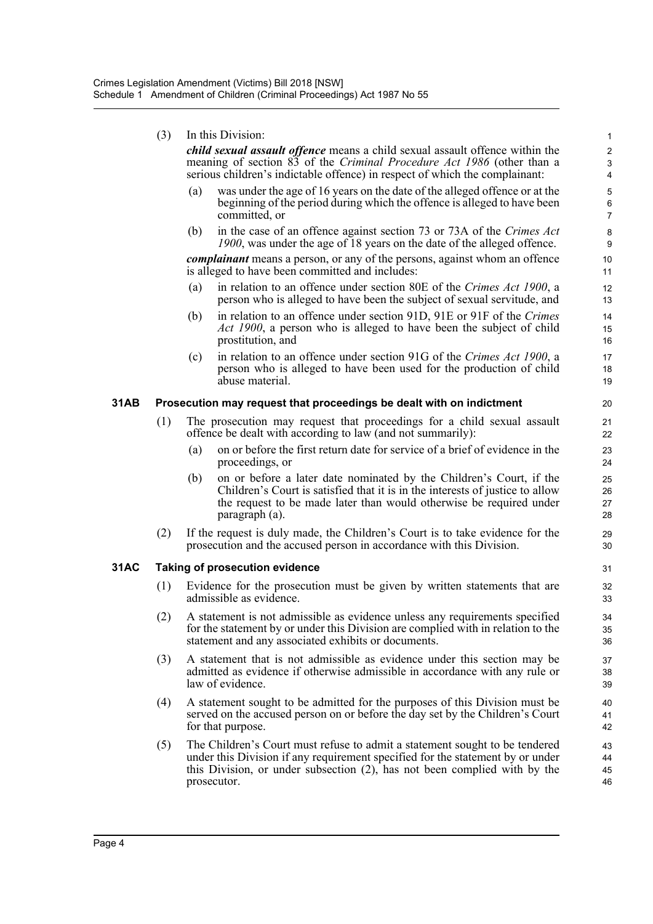|             | (3) |                                                                                                                                        | In this Division:                                                                                                                                                                                                                                         | 1                                                |  |  |
|-------------|-----|----------------------------------------------------------------------------------------------------------------------------------------|-----------------------------------------------------------------------------------------------------------------------------------------------------------------------------------------------------------------------------------------------------------|--------------------------------------------------|--|--|
|             |     |                                                                                                                                        | <i>child sexual assault offence</i> means a child sexual assault offence within the<br>meaning of section 83 of the Criminal Procedure Act 1986 (other than a<br>serious children's indictable offence) in respect of which the complainant:              | $\boldsymbol{2}$<br>$\sqrt{3}$<br>$\overline{4}$ |  |  |
|             |     | (a)                                                                                                                                    | was under the age of 16 years on the date of the alleged offence or at the<br>beginning of the period during which the offence is alleged to have been<br>committed, or                                                                                   | 5<br>6<br>$\overline{7}$                         |  |  |
|             |     | (b)                                                                                                                                    | in the case of an offence against section 73 or 73A of the Crimes Act<br>1900, was under the age of 18 years on the date of the alleged offence.                                                                                                          | 8<br>9                                           |  |  |
|             |     |                                                                                                                                        | <i>complainant</i> means a person, or any of the persons, against whom an offence<br>is alleged to have been committed and includes:                                                                                                                      | 10<br>11                                         |  |  |
|             |     | (a)                                                                                                                                    | in relation to an offence under section 80E of the Crimes Act 1900, a<br>person who is alleged to have been the subject of sexual servitude, and                                                                                                          | 12<br>13                                         |  |  |
|             |     | (b)                                                                                                                                    | in relation to an offence under section 91D, 91E or 91F of the Crimes<br>Act 1900, a person who is alleged to have been the subject of child<br>prostitution, and                                                                                         | 14<br>15<br>16                                   |  |  |
|             |     | (c)                                                                                                                                    | in relation to an offence under section 91G of the Crimes Act 1900, a<br>person who is alleged to have been used for the production of child<br>abuse material.                                                                                           | 17<br>18<br>19                                   |  |  |
| 31AB        |     |                                                                                                                                        | Prosecution may request that proceedings be dealt with on indictment                                                                                                                                                                                      | 20                                               |  |  |
|             | (1) | The prosecution may request that proceedings for a child sexual assault<br>offence be dealt with according to law (and not summarily): |                                                                                                                                                                                                                                                           |                                                  |  |  |
|             |     | (a)                                                                                                                                    | on or before the first return date for service of a brief of evidence in the<br>proceedings, or                                                                                                                                                           | 23<br>24                                         |  |  |
|             |     | (b)                                                                                                                                    | on or before a later date nominated by the Children's Court, if the<br>Children's Court is satisfied that it is in the interests of justice to allow<br>the request to be made later than would otherwise be required under<br>paragraph (a).             | 25<br>26<br>27<br>28                             |  |  |
|             | (2) |                                                                                                                                        | If the request is duly made, the Children's Court is to take evidence for the<br>prosecution and the accused person in accordance with this Division.                                                                                                     | 29<br>30                                         |  |  |
| <b>31AC</b> |     |                                                                                                                                        | <b>Taking of prosecution evidence</b>                                                                                                                                                                                                                     | 31                                               |  |  |
|             | (1) |                                                                                                                                        | Evidence for the prosecution must be given by written statements that are<br>admissible as evidence.                                                                                                                                                      | 32<br>33                                         |  |  |
|             | (2) |                                                                                                                                        | A statement is not admissible as evidence unless any requirements specified<br>for the statement by or under this Division are complied with in relation to the<br>statement and any associated exhibits or documents.                                    | 34<br>35<br>36                                   |  |  |
|             | (3) |                                                                                                                                        | A statement that is not admissible as evidence under this section may be<br>admitted as evidence if otherwise admissible in accordance with any rule or<br>law of evidence.                                                                               | 37<br>38<br>39                                   |  |  |
|             | (4) |                                                                                                                                        | A statement sought to be admitted for the purposes of this Division must be<br>served on the accused person on or before the day set by the Children's Court<br>for that purpose.                                                                         | 40<br>41<br>42                                   |  |  |
|             | (5) |                                                                                                                                        | The Children's Court must refuse to admit a statement sought to be tendered<br>under this Division if any requirement specified for the statement by or under<br>this Division, or under subsection (2), has not been complied with by the<br>prosecutor. | 43<br>44<br>45<br>46                             |  |  |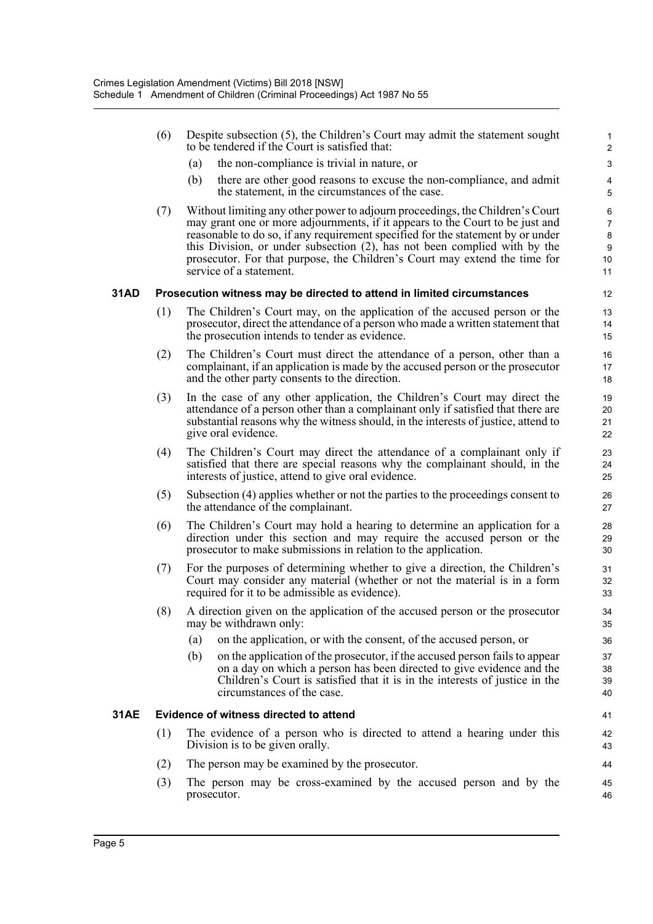- (6) Despite subsection (5), the Children's Court may admit the statement sought  $1$ to be tendered if the Court is satisfied that: 2
	- (a) the non-compliance is trivial in nature, or 3
	- (b) there are other good reasons to excuse the non-compliance, and admit 4 the statement, in the circumstances of the case.  $\sim$  5
- (7) Without limiting any other power to adjourn proceedings, the Children's Court 6 may grant one or more adjournments, if it appears to the Court to be just and  $7$ reasonable to do so, if any requirement specified for the statement by or under 8 this Division, or under subsection (2), has not been complied with by the 9 prosecutor. For that purpose, the Children's Court may extend the time for 10 service of a statement. 11

#### **31AD Prosecution witness may be directed to attend in limited circumstances** 12

- (1) The Children's Court may, on the application of the accused person or the 13 prosecutor, direct the attendance of a person who made a written statement that 14 the prosecution intends to tender as evidence. 15
- (2) The Children's Court must direct the attendance of a person, other than a 16 complainant, if an application is made by the accused person or the prosecutor 17 and the other party consents to the direction. 18
- (3) In the case of any other application, the Children's Court may direct the 19 attendance of a person other than a complainant only if satisfied that there are 20 substantial reasons why the witness should, in the interests of justice, attend to 21 give oral evidence. 22
- (4) The Children's Court may direct the attendance of a complainant only if 23 satisfied that there are special reasons why the complainant should, in the 24 interests of justice, attend to give oral evidence. 25
- (5) Subsection (4) applies whether or not the parties to the proceedings consent to 26 the attendance of the complainant. 27
- (6) The Children's Court may hold a hearing to determine an application for a 28 direction under this section and may require the accused person or the 29 prosecutor to make submissions in relation to the application. 30
- (7) For the purposes of determining whether to give a direction, the Children's 31 Court may consider any material (whether or not the material is in a form 32 required for it to be admissible as evidence). 33
- (8) A direction given on the application of the accused person or the prosecutor 34 may be withdrawn only: 35
	- (a) on the application, or with the consent, of the accused person, or 36
	- (b) on the application of the prosecutor, if the accused person fails to appear 37 on a day on which a person has been directed to give evidence and the 38 Children's Court is satisfied that it is in the interests of justice in the 39 circumstances of the case. 40

#### **31AE Evidence of witness directed to attend** 41

- (1) The evidence of a person who is directed to attend a hearing under this 42 Division is to be given orally. 43
- (2) The person may be examined by the prosecutor. 44
- (3) The person may be cross-examined by the accused person and by the 45 prosecutor. 46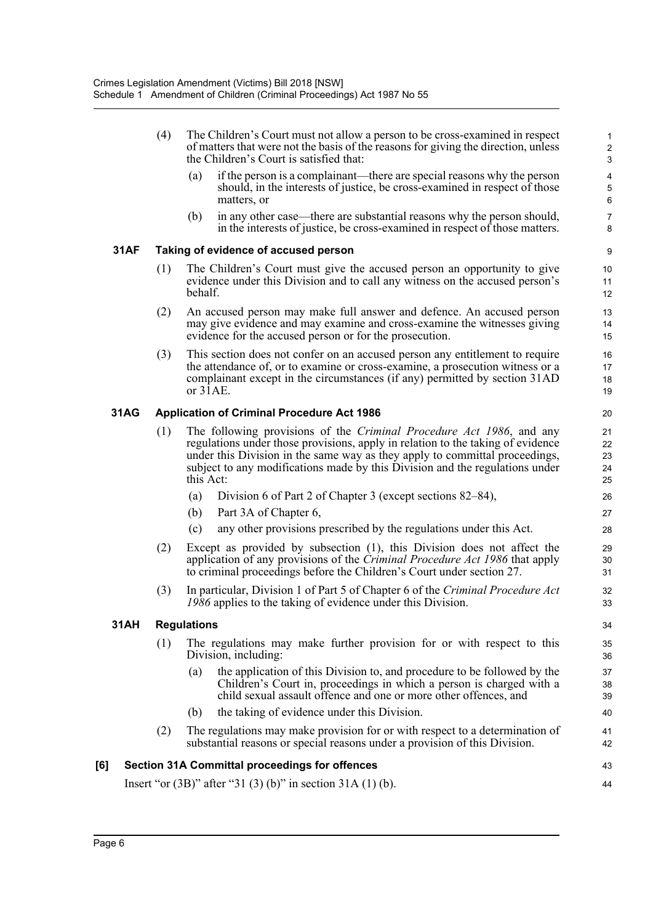|             | (4) | The Children's Court must not allow a person to be cross-examined in respect<br>of matters that were not the basis of the reasons for giving the direction, unless<br>the Children's Court is satisfied that:                                                                                                                       | 1<br>$\overline{\mathbf{c}}$<br>3 |
|-------------|-----|-------------------------------------------------------------------------------------------------------------------------------------------------------------------------------------------------------------------------------------------------------------------------------------------------------------------------------------|-----------------------------------|
|             |     | if the person is a complainant—there are special reasons why the person<br>(a)<br>should, in the interests of justice, be cross-examined in respect of those<br>matters, or                                                                                                                                                         | 4<br>5<br>6                       |
|             |     | in any other case—there are substantial reasons why the person should,<br>(b)<br>in the interests of justice, be cross-examined in respect of those matters.                                                                                                                                                                        | 7<br>8                            |
| <b>31AF</b> |     | Taking of evidence of accused person                                                                                                                                                                                                                                                                                                | 9                                 |
|             | (1) | The Children's Court must give the accused person an opportunity to give<br>evidence under this Division and to call any witness on the accused person's<br>behalf.                                                                                                                                                                 | 10<br>11<br>12                    |
|             | (2) | An accused person may make full answer and defence. An accused person<br>may give evidence and may examine and cross-examine the witnesses giving<br>evidence for the accused person or for the prosecution.                                                                                                                        | 13<br>14<br>15                    |
|             | (3) | This section does not confer on an accused person any entitlement to require<br>the attendance of, or to examine or cross-examine, a prosecution witness or a<br>complainant except in the circumstances (if any) permitted by section 31AD<br>or 31AE.                                                                             | 16<br>17<br>18<br>19              |
| <b>31AG</b> |     | <b>Application of Criminal Procedure Act 1986</b>                                                                                                                                                                                                                                                                                   | 20                                |
|             | (1) | The following provisions of the Criminal Procedure Act 1986, and any<br>regulations under those provisions, apply in relation to the taking of evidence<br>under this Division in the same way as they apply to committal proceedings,<br>subject to any modifications made by this Division and the regulations under<br>this Act: | 21<br>22<br>23<br>24<br>25        |
|             |     | Division 6 of Part 2 of Chapter 3 (except sections 82–84),<br>(a)                                                                                                                                                                                                                                                                   | 26                                |
|             |     | (b)<br>Part 3A of Chapter 6,                                                                                                                                                                                                                                                                                                        | 27                                |
|             |     | any other provisions prescribed by the regulations under this Act.<br>(c)                                                                                                                                                                                                                                                           | 28                                |
|             | (2) | Except as provided by subsection (1), this Division does not affect the<br>application of any provisions of the Criminal Procedure Act 1986 that apply<br>to criminal proceedings before the Children's Court under section 27.                                                                                                     | 29<br>30<br>31                    |
|             | (3) | In particular, Division 1 of Part 5 of Chapter 6 of the Criminal Procedure Act<br>1986 applies to the taking of evidence under this Division.                                                                                                                                                                                       | 32<br>33                          |
| <b>31AH</b> |     | <b>Regulations</b>                                                                                                                                                                                                                                                                                                                  | 34                                |
|             | (1) | The regulations may make further provision for or with respect to this<br>Division, including:                                                                                                                                                                                                                                      | 35<br>36                          |
|             |     | the application of this Division to, and procedure to be followed by the<br>(a)<br>Children's Court in, proceedings in which a person is charged with a<br>child sexual assault offence and one or more other offences, and                                                                                                         | 37<br>38<br>39                    |
|             |     | the taking of evidence under this Division.<br>(b)                                                                                                                                                                                                                                                                                  | 40                                |
|             | (2) | The regulations may make provision for or with respect to a determination of<br>substantial reasons or special reasons under a provision of this Division.                                                                                                                                                                          | 41<br>42                          |
| [6]         |     | <b>Section 31A Committal proceedings for offences</b>                                                                                                                                                                                                                                                                               | 43                                |
|             |     | Insert "or $(3B)$ " after "31 $(3)$ (b)" in section 31A $(1)$ (b).                                                                                                                                                                                                                                                                  | 44                                |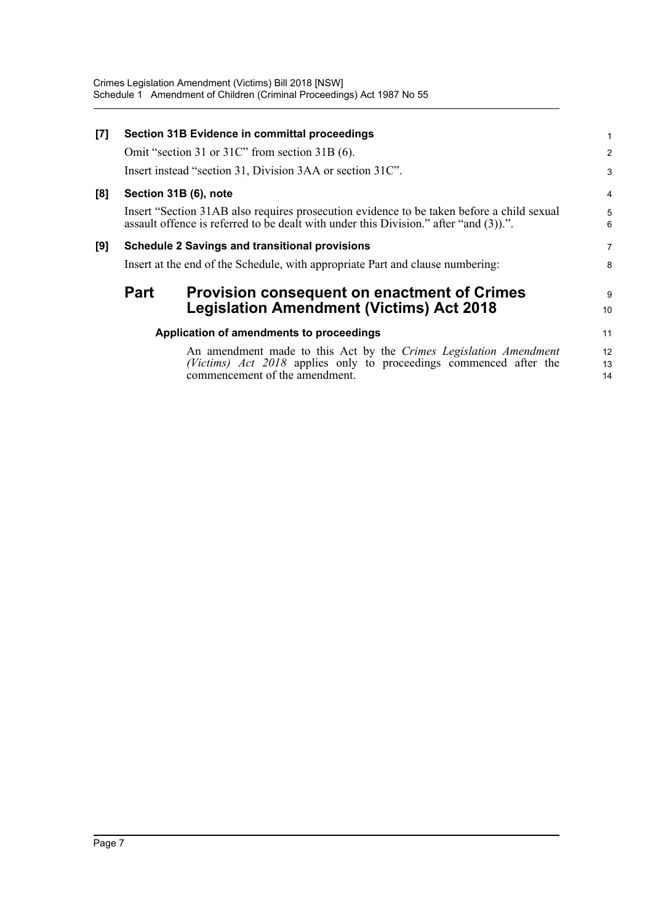| [7] |                                                                                | Section 31B Evidence in committal proceedings                                                                                                                                      |                |  |  |
|-----|--------------------------------------------------------------------------------|------------------------------------------------------------------------------------------------------------------------------------------------------------------------------------|----------------|--|--|
|     |                                                                                | Omit "section 31 or 31C" from section 31B (6).                                                                                                                                     | $\overline{2}$ |  |  |
|     |                                                                                | Insert instead "section 31, Division 3AA or section 31C".                                                                                                                          | 3              |  |  |
| [8] |                                                                                | Section 31B (6), note                                                                                                                                                              | 4              |  |  |
|     |                                                                                | Insert "Section 31AB also requires prosecution evidence to be taken before a child sexual<br>assault offence is referred to be dealt with under this Division." after "and (3)).". | 5<br>6         |  |  |
| [9] | <b>Schedule 2 Savings and transitional provisions</b>                          |                                                                                                                                                                                    |                |  |  |
|     | Insert at the end of the Schedule, with appropriate Part and clause numbering: |                                                                                                                                                                                    |                |  |  |
|     | <b>Part</b>                                                                    | <b>Provision consequent on enactment of Crimes</b>                                                                                                                                 | 9              |  |  |
|     |                                                                                | <b>Legislation Amendment (Victims) Act 2018</b>                                                                                                                                    | 10             |  |  |
|     |                                                                                | Application of amendments to proceedings                                                                                                                                           | 11             |  |  |
|     |                                                                                | An amendment made to this Act by the Crimes Legislation Amendment<br>(Victims) Act 2018 applies only to proceedings commenced after the<br>commencement of the amendment.          | 12<br>13<br>14 |  |  |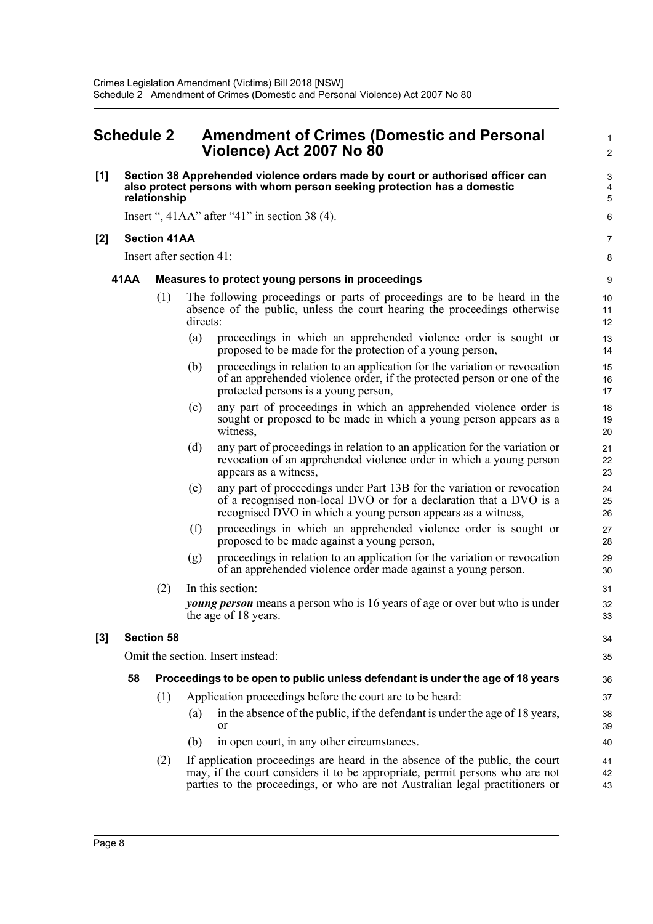# <span id="page-15-0"></span>**Schedule 2 Amendment of Crimes (Domestic and Personal** <sup>1</sup> **Violence) Act 2007 No 80** <sup>2</sup>

#### **[1] Section 38 Apprehended violence orders made by court or authorised officer can** 3 **also protect persons with whom person seeking protection has a domestic** 4 **relationship** 5

Insert ", 41AA" after "41" in section 38 (4).

### **[2] Section 41AA** 7

Insert after section 41: 8

#### **41AA Measures to protect young persons in proceedings** 9

- (1) The following proceedings or parts of proceedings are to be heard in the 10 absence of the public, unless the court hearing the proceedings otherwise 11<br>directs: directs: 12
	- (a) proceedings in which an apprehended violence order is sought or 13 proposed to be made for the protection of a young person, 14
	- (b) proceedings in relation to an application for the variation or revocation 15 of an apprehended violence order, if the protected person or one of the 16 protected persons is a young person, 17
	- (c) any part of proceedings in which an apprehended violence order is 18 sought or proposed to be made in which a young person appears as a 19 witness, 20
	- (d) any part of proceedings in relation to an application for the variation or 21 revocation of an apprehended violence order in which a young person 22 appears as a witness, 23
	- (e) any part of proceedings under Part 13B for the variation or revocation 24 of a recognised non-local DVO or for a declaration that a DVO is a 25 recognised DVO in which a young person appears as a witness, 26
	- (f) proceedings in which an apprehended violence order is sought or 27 proposed to be made against a young person, 28
	- (g) proceedings in relation to an application for the variation or revocation 29 of an apprehended violence order made against a young person. 30
- (2) In this section: 31 *young person* means a person who is 16 years of age or over but who is under 32 the age of 18 years. 33

### **[3] Section 58** 34

Omit the section. Insert instead: 35

### **58 Proceedings to be open to public unless defendant is under the age of 18 years** 36

- (1) Application proceedings before the court are to be heard: 37
	- (a) in the absence of the public, if the defendant is under the age of 18 years, 38 or 39
	- (b) in open court, in any other circumstances. 40
- (2) If application proceedings are heard in the absence of the public, the court 41 may, if the court considers it to be appropriate, permit persons who are not 42 parties to the proceedings, or who are not Australian legal practitioners or  $\frac{43}{4}$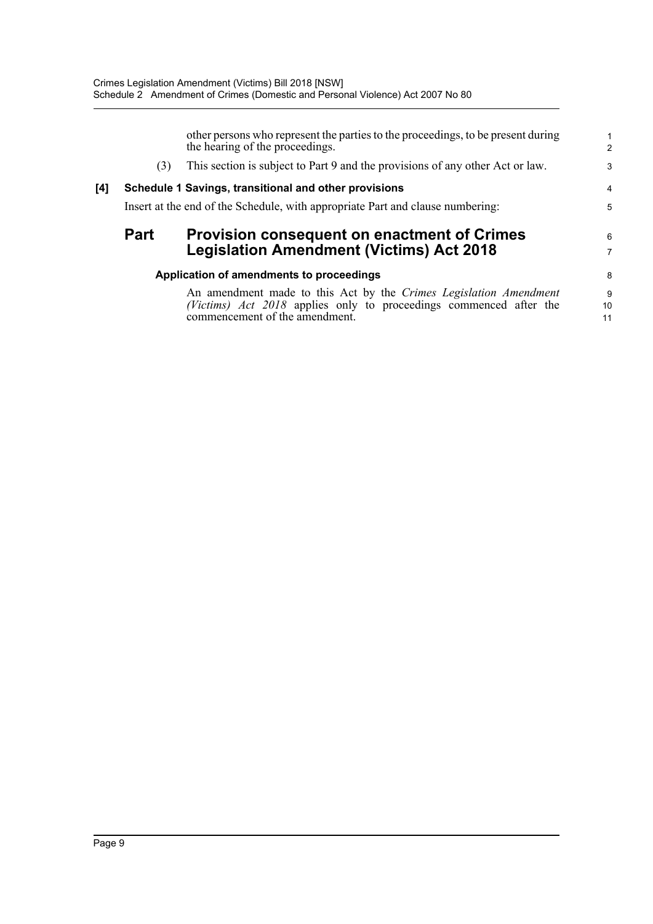|     |             | other persons who represent the parties to the proceedings, to be present during<br>the hearing of the proceedings.                                                       | 2             |
|-----|-------------|---------------------------------------------------------------------------------------------------------------------------------------------------------------------------|---------------|
|     | (3)         | This section is subject to Part 9 and the provisions of any other Act or law.                                                                                             | ŝ             |
| [4] |             | Schedule 1 Savings, transitional and other provisions                                                                                                                     | 4             |
|     |             | Insert at the end of the Schedule, with appropriate Part and clause numbering:                                                                                            | ŧ             |
|     | <b>Part</b> | <b>Provision consequent on enactment of Crimes</b><br><b>Legislation Amendment (Victims) Act 2018</b>                                                                     | 6             |
|     |             | Application of amendments to proceedings                                                                                                                                  | ε             |
|     |             | An amendment made to this Act by the Crimes Legislation Amendment<br>(Victims) Act 2018 applies only to proceedings commenced after the<br>commencement of the amendment. | ç<br>10<br>11 |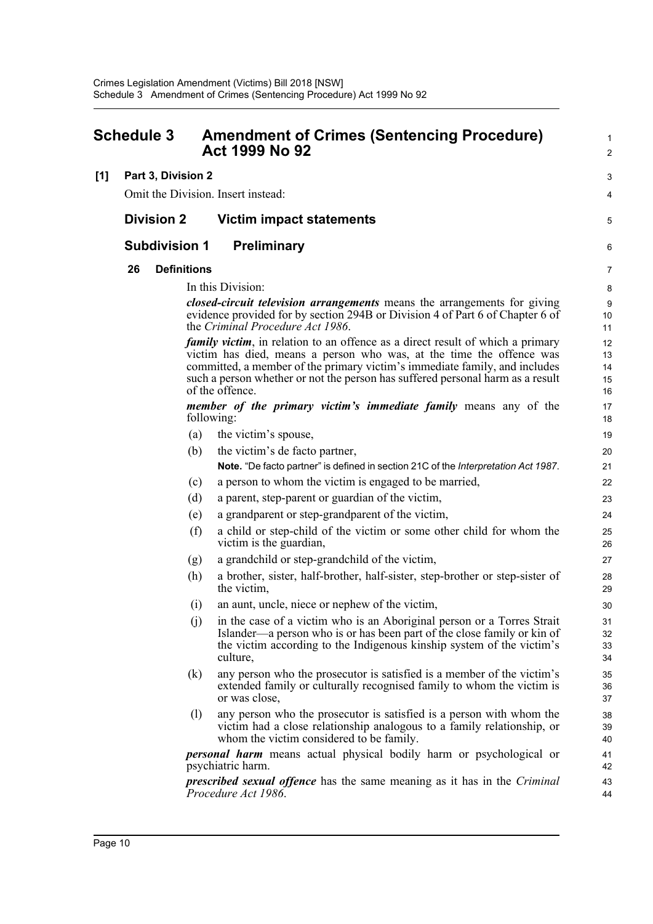<span id="page-17-0"></span>

| <b>Schedule 3</b> |    |                      |     | <b>Amendment of Crimes (Sentencing Procedure)</b><br>Act 1999 No 92                                                                                                                                                                                                                                                                               | 1<br>$\overline{2}$        |
|-------------------|----|----------------------|-----|---------------------------------------------------------------------------------------------------------------------------------------------------------------------------------------------------------------------------------------------------------------------------------------------------------------------------------------------------|----------------------------|
| [1]               |    | Part 3, Division 2   |     |                                                                                                                                                                                                                                                                                                                                                   | 3                          |
|                   |    |                      |     | Omit the Division. Insert instead:                                                                                                                                                                                                                                                                                                                | 4                          |
|                   |    | <b>Division 2</b>    |     | <b>Victim impact statements</b>                                                                                                                                                                                                                                                                                                                   | 5                          |
|                   |    | <b>Subdivision 1</b> |     | <b>Preliminary</b>                                                                                                                                                                                                                                                                                                                                | 6                          |
|                   | 26 | <b>Definitions</b>   |     |                                                                                                                                                                                                                                                                                                                                                   | 7                          |
|                   |    |                      |     | In this Division:                                                                                                                                                                                                                                                                                                                                 | 8                          |
|                   |    |                      |     | <i>closed-circuit television arrangements</i> means the arrangements for giving<br>evidence provided for by section 294B or Division 4 of Part 6 of Chapter 6 of<br>the Criminal Procedure Act 1986.                                                                                                                                              | 9<br>10<br>11              |
|                   |    |                      |     | <i>family victim</i> , in relation to an offence as a direct result of which a primary<br>victim has died, means a person who was, at the time the offence was<br>committed, a member of the primary victim's immediate family, and includes<br>such a person whether or not the person has suffered personal harm as a result<br>of the offence. | 12<br>13<br>14<br>15<br>16 |
|                   |    |                      |     | <i>member of the primary victim's immediate family</i> means any of the<br>following:                                                                                                                                                                                                                                                             | 17<br>18                   |
|                   |    |                      | (a) | the victim's spouse,                                                                                                                                                                                                                                                                                                                              | 19                         |
|                   |    |                      | (b) | the victim's de facto partner,                                                                                                                                                                                                                                                                                                                    | 20                         |
|                   |    |                      |     | Note. "De facto partner" is defined in section 21C of the Interpretation Act 1987.                                                                                                                                                                                                                                                                | 21                         |
|                   |    |                      | (c) | a person to whom the victim is engaged to be married,                                                                                                                                                                                                                                                                                             | 22                         |
|                   |    |                      | (d) | a parent, step-parent or guardian of the victim,                                                                                                                                                                                                                                                                                                  | 23                         |
|                   |    |                      | (e) | a grandparent or step-grandparent of the victim,                                                                                                                                                                                                                                                                                                  | 24                         |
|                   |    |                      | (f) | a child or step-child of the victim or some other child for whom the<br>victim is the guardian,                                                                                                                                                                                                                                                   | 25<br>26                   |
|                   |    |                      | (g) | a grandchild or step-grandchild of the victim,                                                                                                                                                                                                                                                                                                    | 27                         |
|                   |    |                      | (h) | a brother, sister, half-brother, half-sister, step-brother or step-sister of<br>the victim,                                                                                                                                                                                                                                                       | 28<br>29                   |
|                   |    |                      | (i) | an aunt, uncle, niece or nephew of the victim,                                                                                                                                                                                                                                                                                                    | 30                         |
|                   |    |                      | (j) | in the case of a victim who is an Aboriginal person or a Torres Strait<br>Islander—a person who is or has been part of the close family or kin of<br>the victim according to the Indigenous kinship system of the victim's<br>culture,                                                                                                            | 31<br>32<br>33<br>34       |
|                   |    |                      | (k) | any person who the prosecutor is satisfied is a member of the victim's<br>extended family or culturally recognised family to whom the victim is<br>or was close,                                                                                                                                                                                  | 35<br>36<br>37             |
|                   |    |                      | (1) | any person who the prosecutor is satisfied is a person with whom the<br>victim had a close relationship analogous to a family relationship, or<br>whom the victim considered to be family.                                                                                                                                                        | 38<br>39<br>40             |
|                   |    |                      |     | <i>personal harm</i> means actual physical bodily harm or psychological or<br>psychiatric harm.                                                                                                                                                                                                                                                   | 41<br>42                   |
|                   |    |                      |     | <i>prescribed sexual offence</i> has the same meaning as it has in the <i>Criminal</i><br>Procedure Act 1986.                                                                                                                                                                                                                                     | 43<br>44                   |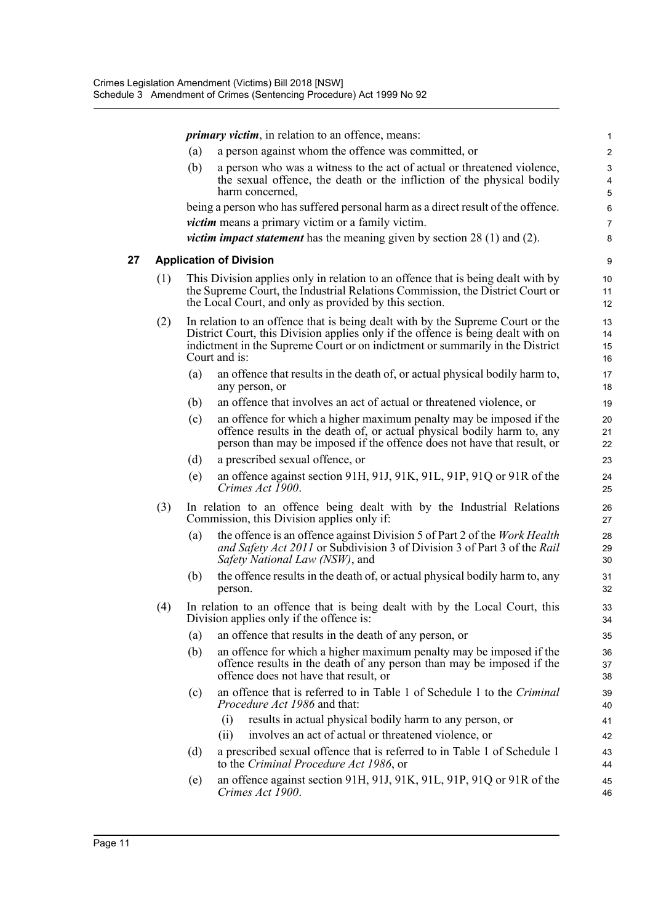*primary victim*, in relation to an offence, means: 1

- (a) a person against whom the offence was committed, or 2
- (b) a person who was a witness to the act of actual or threatened violence,  $\frac{3}{2}$ the sexual offence, the death or the infliction of the physical bodily 4 harm concerned, 5

being a person who has suffered personal harm as a direct result of the offence. 6 *victim* means a primary victim or a family victim.

*victim impact statement* has the meaning given by section 28 (1) and (2). 8

#### **27 Application of Division** 9

- (1) This Division applies only in relation to an offence that is being dealt with by 10 the Supreme Court, the Industrial Relations Commission, the District Court or 11 the Local Court, and only as provided by this section. 12
- (2) In relation to an offence that is being dealt with by the Supreme Court or the 13 District Court, this Division applies only if the offence is being dealt with on 14 indictment in the Supreme Court or on indictment or summarily in the District 15 Court and is: 16
	- (a) an offence that results in the death of, or actual physical bodily harm to, 17 any person, or 18
	- (b) an offence that involves an act of actual or threatened violence, or 19
	- (c) an offence for which a higher maximum penalty may be imposed if the 20 offence results in the death of, or actual physical bodily harm to, any 21 person than may be imposed if the offence does not have that result, or 22
	- (d) a prescribed sexual offence, or 23
	- (e) an offence against section 91H, 91J, 91K, 91L, 91P, 91Q or 91R of the 24 *Crimes Act 1900*. 25
- (3) In relation to an offence being dealt with by the Industrial Relations 26 Commission, this Division applies only if: 27
	- (a) the offence is an offence against Division 5 of Part 2 of the *Work Health* 28 *and Safety Act 2011* or Subdivision 3 of Division 3 of Part 3 of the *Rail* 29 *Safety National Law (NSW)*, and 30
	- (b) the offence results in the death of, or actual physical bodily harm to, any 31 person. 32
- (4) In relation to an offence that is being dealt with by the Local Court, this 33 Division applies only if the offence is: 34
	- (a) an offence that results in the death of any person, or 35
	- (b) an offence for which a higher maximum penalty may be imposed if the 36 offence results in the death of any person than may be imposed if the 37 offence does not have that result, or 38
	- (c) an offence that is referred to in Table 1 of Schedule 1 to the *Criminal* 39 *Procedure Act 1986* and that: 40
		- (i) results in actual physical bodily harm to any person, or 41
		- (ii) involves an act of actual or threatened violence, or 42
	- (d) a prescribed sexual offence that is referred to in Table 1 of Schedule 1 43 to the *Criminal Procedure Act 1986*, or 44
	- (e) an offence against section 91H, 91J, 91K, 91L, 91P, 91Q or 91R of the 45 *Crimes Act 1900*. 46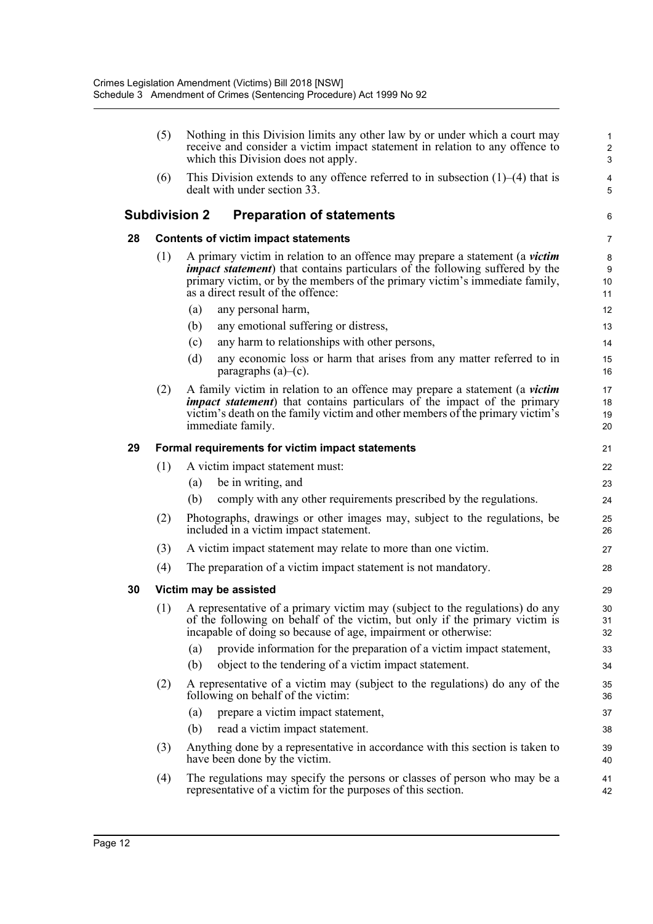|    | (5)                                              | Nothing in this Division limits any other law by or under which a court may<br>receive and consider a victim impact statement in relation to any offence to<br>which this Division does not apply.                                                                                        | 1<br>$\overline{c}$<br>3 |  |  |  |  |
|----|--------------------------------------------------|-------------------------------------------------------------------------------------------------------------------------------------------------------------------------------------------------------------------------------------------------------------------------------------------|--------------------------|--|--|--|--|
|    | (6)                                              | This Division extends to any offence referred to in subsection $(1)$ – $(4)$ that is<br>dealt with under section 33.                                                                                                                                                                      | 4<br>5                   |  |  |  |  |
|    |                                                  | <b>Subdivision 2</b><br><b>Preparation of statements</b>                                                                                                                                                                                                                                  | 6                        |  |  |  |  |
| 28 |                                                  | <b>Contents of victim impact statements</b>                                                                                                                                                                                                                                               | 7                        |  |  |  |  |
|    | (1)                                              | A primary victim in relation to an offence may prepare a statement (a victim<br><i>impact statement</i> ) that contains particulars of the following suffered by the<br>primary victim, or by the members of the primary victim's immediate family,<br>as a direct result of the offence: | 8<br>9<br>10<br>11       |  |  |  |  |
|    |                                                  | any personal harm,<br>(a)                                                                                                                                                                                                                                                                 | 12                       |  |  |  |  |
|    |                                                  | any emotional suffering or distress,<br>(b)                                                                                                                                                                                                                                               | 13                       |  |  |  |  |
|    |                                                  | any harm to relationships with other persons,<br>(c)                                                                                                                                                                                                                                      | 14                       |  |  |  |  |
|    |                                                  | (d)<br>any economic loss or harm that arises from any matter referred to in<br>paragraphs $(a)$ – $(c)$ .                                                                                                                                                                                 | 15<br>16                 |  |  |  |  |
|    | (2)                                              | A family victim in relation to an offence may prepare a statement (a <i>victim</i><br><i>impact statement</i> ) that contains particulars of the impact of the primary<br>victim's death on the family victim and other members of the primary victim's<br>immediate family.              | 17<br>18<br>19<br>20     |  |  |  |  |
| 29 | Formal requirements for victim impact statements |                                                                                                                                                                                                                                                                                           |                          |  |  |  |  |
|    | (1)                                              | A victim impact statement must:                                                                                                                                                                                                                                                           | 22                       |  |  |  |  |
|    |                                                  | (a)<br>be in writing, and                                                                                                                                                                                                                                                                 | 23                       |  |  |  |  |
|    |                                                  | (b)<br>comply with any other requirements prescribed by the regulations.                                                                                                                                                                                                                  | 24                       |  |  |  |  |
|    | (2)                                              | Photographs, drawings or other images may, subject to the regulations, be<br>included in a victim impact statement.                                                                                                                                                                       | 25<br>26                 |  |  |  |  |
|    | (3)                                              | A victim impact statement may relate to more than one victim.                                                                                                                                                                                                                             | 27                       |  |  |  |  |
|    | (4)                                              | The preparation of a victim impact statement is not mandatory.                                                                                                                                                                                                                            | 28                       |  |  |  |  |
| 30 |                                                  | Victim may be assisted                                                                                                                                                                                                                                                                    | 29                       |  |  |  |  |
|    | (1)                                              | A representative of a primary victim may (subject to the regulations) do any<br>of the following on behalf of the victim, but only if the primary victim is<br>incapable of doing so because of age, impairment or otherwise:                                                             | 30<br>31<br>32           |  |  |  |  |
|    |                                                  | provide information for the preparation of a victim impact statement,<br>(a)                                                                                                                                                                                                              | 33                       |  |  |  |  |
|    |                                                  | object to the tendering of a victim impact statement.<br>(b)                                                                                                                                                                                                                              | 34                       |  |  |  |  |
|    | (2)                                              | A representative of a victim may (subject to the regulations) do any of the<br>following on behalf of the victim:                                                                                                                                                                         | 35<br>36                 |  |  |  |  |
|    |                                                  | prepare a victim impact statement,<br>(a)                                                                                                                                                                                                                                                 | 37                       |  |  |  |  |
|    |                                                  | read a victim impact statement.<br>(b)                                                                                                                                                                                                                                                    | 38                       |  |  |  |  |
|    | (3)                                              | Anything done by a representative in accordance with this section is taken to<br>have been done by the victim.                                                                                                                                                                            | 39<br>40                 |  |  |  |  |
|    | (4)                                              | The regulations may specify the persons or classes of person who may be a<br>representative of a victim for the purposes of this section.                                                                                                                                                 | 41<br>42                 |  |  |  |  |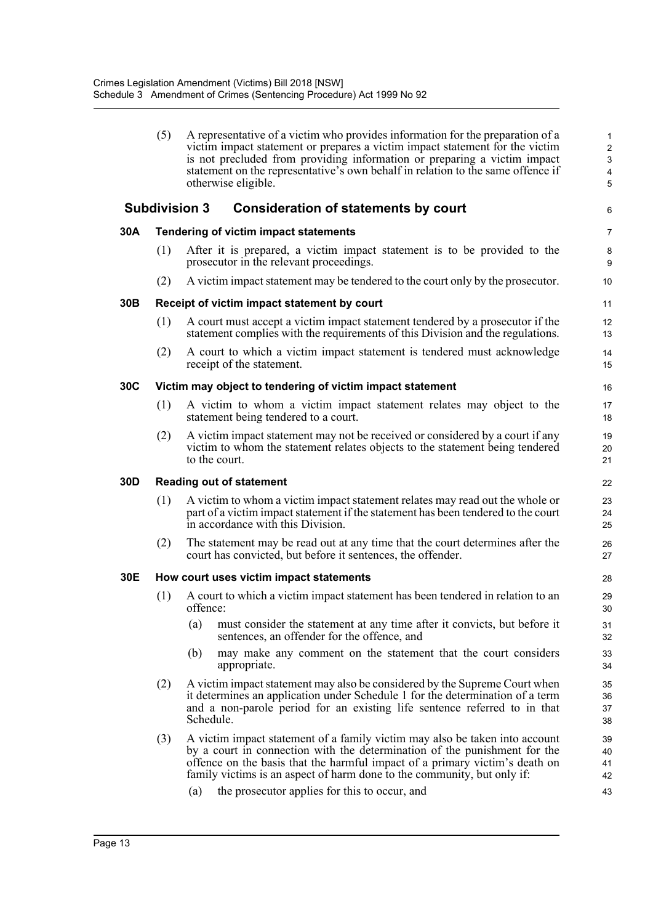|     | (5)                             | A representative of a victim who provides information for the preparation of a<br>victim impact statement or prepares a victim impact statement for the victim<br>is not precluded from providing information or preparing a victim impact<br>statement on the representative's own behalf in relation to the same offence if<br>otherwise eligible. | $\mathbf{1}$<br>$\overline{c}$<br>3<br>$\overline{\mathbf{4}}$<br>5 |  |  |  |  |  |  |
|-----|---------------------------------|------------------------------------------------------------------------------------------------------------------------------------------------------------------------------------------------------------------------------------------------------------------------------------------------------------------------------------------------------|---------------------------------------------------------------------|--|--|--|--|--|--|
|     |                                 | <b>Subdivision 3</b><br><b>Consideration of statements by court</b>                                                                                                                                                                                                                                                                                  | 6                                                                   |  |  |  |  |  |  |
| 30A |                                 | Tendering of victim impact statements                                                                                                                                                                                                                                                                                                                | $\overline{7}$                                                      |  |  |  |  |  |  |
|     | (1)                             | After it is prepared, a victim impact statement is to be provided to the<br>prosecutor in the relevant proceedings.                                                                                                                                                                                                                                  | 8<br>9                                                              |  |  |  |  |  |  |
|     | (2)                             | A victim impact statement may be tendered to the court only by the prosecutor.                                                                                                                                                                                                                                                                       | 10                                                                  |  |  |  |  |  |  |
| 30B |                                 | Receipt of victim impact statement by court                                                                                                                                                                                                                                                                                                          | 11                                                                  |  |  |  |  |  |  |
|     | (1)                             | A court must accept a victim impact statement tendered by a prosecutor if the<br>statement complies with the requirements of this Division and the regulations.                                                                                                                                                                                      | 12<br>13                                                            |  |  |  |  |  |  |
|     | (2)                             | A court to which a victim impact statement is tendered must acknowledge<br>receipt of the statement.                                                                                                                                                                                                                                                 | 14<br>15                                                            |  |  |  |  |  |  |
| 30C |                                 | Victim may object to tendering of victim impact statement                                                                                                                                                                                                                                                                                            | 16                                                                  |  |  |  |  |  |  |
|     | (1)                             | A victim to whom a victim impact statement relates may object to the<br>statement being tendered to a court.                                                                                                                                                                                                                                         | 17<br>18                                                            |  |  |  |  |  |  |
|     | (2)                             | A victim impact statement may not be received or considered by a court if any<br>victim to whom the statement relates objects to the statement being tendered<br>to the court.                                                                                                                                                                       | 19<br>20<br>21                                                      |  |  |  |  |  |  |
| 30D | <b>Reading out of statement</b> |                                                                                                                                                                                                                                                                                                                                                      |                                                                     |  |  |  |  |  |  |
|     | (1)                             | A victim to whom a victim impact statement relates may read out the whole or<br>part of a victim impact statement if the statement has been tendered to the court<br>in accordance with this Division.                                                                                                                                               | 23<br>24<br>25                                                      |  |  |  |  |  |  |
|     | (2)                             | The statement may be read out at any time that the court determines after the<br>court has convicted, but before it sentences, the offender.                                                                                                                                                                                                         | 26<br>27                                                            |  |  |  |  |  |  |
| 30E |                                 | How court uses victim impact statements                                                                                                                                                                                                                                                                                                              | 28                                                                  |  |  |  |  |  |  |
|     | (1)                             | A court to which a victim impact statement has been tendered in relation to an<br>offence:                                                                                                                                                                                                                                                           | 29<br>30                                                            |  |  |  |  |  |  |
|     |                                 | (a)<br>must consider the statement at any time after it convicts, but before it<br>sentences, an offender for the offence, and                                                                                                                                                                                                                       | 31<br>32                                                            |  |  |  |  |  |  |
|     |                                 | (b)<br>may make any comment on the statement that the court considers<br>appropriate.                                                                                                                                                                                                                                                                | 33<br>34                                                            |  |  |  |  |  |  |
|     | (2)                             | A victim impact statement may also be considered by the Supreme Court when<br>it determines an application under Schedule 1 for the determination of a term<br>and a non-parole period for an existing life sentence referred to in that<br>Schedule.                                                                                                | 35<br>36<br>37<br>38                                                |  |  |  |  |  |  |
|     | (3)                             | A victim impact statement of a family victim may also be taken into account<br>by a court in connection with the determination of the punishment for the<br>offence on the basis that the harmful impact of a primary victim's death on<br>family victims is an aspect of harm done to the community, but only if:                                   | 39<br>40<br>41<br>42                                                |  |  |  |  |  |  |
|     |                                 | the prosecutor applies for this to occur, and<br>(a)                                                                                                                                                                                                                                                                                                 | 43                                                                  |  |  |  |  |  |  |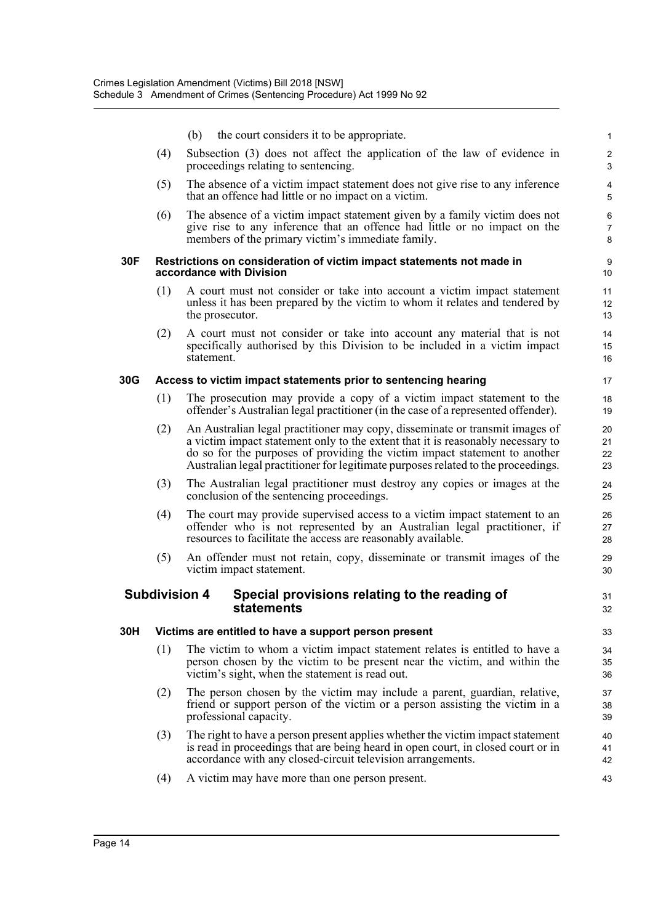|     |     | (b)<br>the court considers it to be appropriate.                                                                                                                                                                                                                                                                                   | $\mathbf{1}$                            |
|-----|-----|------------------------------------------------------------------------------------------------------------------------------------------------------------------------------------------------------------------------------------------------------------------------------------------------------------------------------------|-----------------------------------------|
|     | (4) | Subsection (3) does not affect the application of the law of evidence in<br>proceedings relating to sentencing.                                                                                                                                                                                                                    | $\sqrt{2}$<br>$\ensuremath{\mathsf{3}}$ |
|     | (5) | The absence of a victim impact statement does not give rise to any inference<br>that an offence had little or no impact on a victim.                                                                                                                                                                                               | 4<br>$\sqrt{5}$                         |
|     | (6) | The absence of a victim impact statement given by a family victim does not<br>give rise to any inference that an offence had little or no impact on the<br>members of the primary victim's immediate family.                                                                                                                       | $\,6\,$<br>$\overline{7}$<br>8          |
| 30F |     | Restrictions on consideration of victim impact statements not made in<br>accordance with Division                                                                                                                                                                                                                                  | 9<br>10                                 |
|     | (1) | A court must not consider or take into account a victim impact statement<br>unless it has been prepared by the victim to whom it relates and tendered by<br>the prosecutor.                                                                                                                                                        | 11<br>12<br>13                          |
|     | (2) | A court must not consider or take into account any material that is not<br>specifically authorised by this Division to be included in a victim impact<br>statement.                                                                                                                                                                | 14<br>15<br>16                          |
| 30G |     | Access to victim impact statements prior to sentencing hearing                                                                                                                                                                                                                                                                     | 17                                      |
|     | (1) | The prosecution may provide a copy of a victim impact statement to the<br>offender's Australian legal practitioner (in the case of a represented offender).                                                                                                                                                                        | 18<br>19                                |
|     | (2) | An Australian legal practitioner may copy, disseminate or transmit images of<br>a victim impact statement only to the extent that it is reasonably necessary to<br>do so for the purposes of providing the victim impact statement to another<br>Australian legal practitioner for legitimate purposes related to the proceedings. | 20<br>21<br>22<br>23                    |
|     | (3) | The Australian legal practitioner must destroy any copies or images at the<br>conclusion of the sentencing proceedings.                                                                                                                                                                                                            | 24<br>25                                |
|     | (4) | The court may provide supervised access to a victim impact statement to an<br>offender who is not represented by an Australian legal practitioner, if<br>resources to facilitate the access are reasonably available.                                                                                                              | 26<br>27<br>28                          |
|     | (5) | An offender must not retain, copy, disseminate or transmit images of the<br>victim impact statement.                                                                                                                                                                                                                               | 29<br>30                                |
|     |     | <b>Subdivision 4</b><br>Special provisions relating to the reading of<br>statements                                                                                                                                                                                                                                                | 31<br>32                                |
| 30H |     | Victims are entitled to have a support person present                                                                                                                                                                                                                                                                              | 33                                      |
|     | (1) | The victim to whom a victim impact statement relates is entitled to have a<br>person chosen by the victim to be present near the victim, and within the<br>victim's sight, when the statement is read out.                                                                                                                         | 34<br>35<br>36                          |
|     | (2) | The person chosen by the victim may include a parent, guardian, relative,<br>friend or support person of the victim or a person assisting the victim in a<br>professional capacity.                                                                                                                                                | 37<br>38<br>39                          |
|     | (3) | The right to have a person present applies whether the victim impact statement<br>is read in proceedings that are being heard in open court, in closed court or in<br>accordance with any closed-circuit television arrangements.                                                                                                  | 40<br>41<br>42                          |
|     | (4) | A victim may have more than one person present.                                                                                                                                                                                                                                                                                    | 43                                      |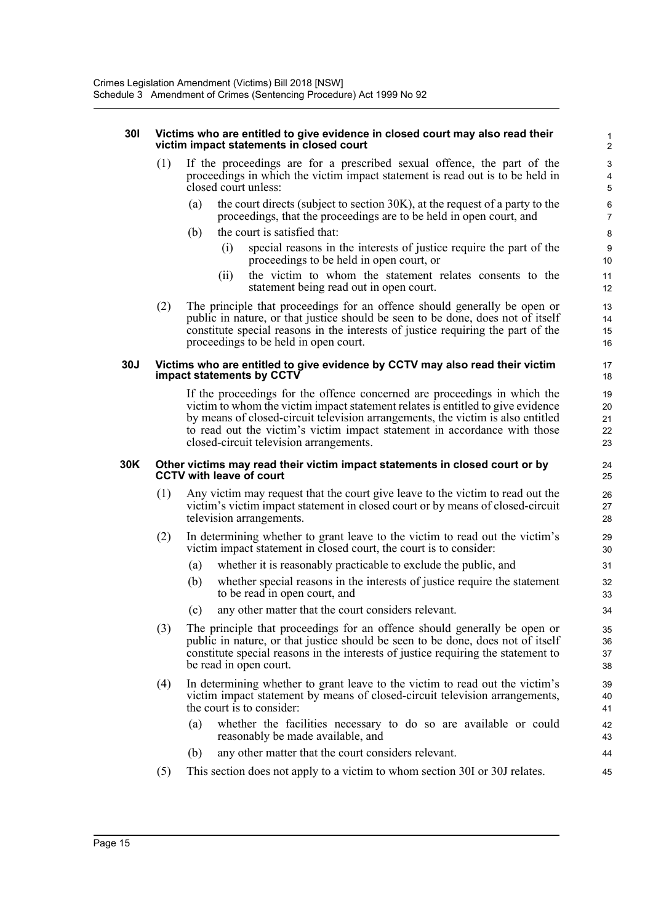#### **30I Victims who are entitled to give evidence in closed court may also read their** 1 **victim impact statements in closed court** 2

- (1) If the proceedings are for a prescribed sexual offence, the part of the 3 proceedings in which the victim impact statement is read out is to be held in 4 closed court unless: 5
	- (a) the court directs (subject to section 30K), at the request of a party to the  $\frac{6}{6}$ proceedings, that the proceedings are to be held in open court, and 7
	- (b) the court is satisfied that: 8
		- (i) special reasons in the interests of justice require the part of the 9 proceedings to be held in open court, or 10
		- (ii) the victim to whom the statement relates consents to the 11 statement being read out in open court.
- (2) The principle that proceedings for an offence should generally be open or 13 public in nature, or that justice should be seen to be done, does not of itself 14 constitute special reasons in the interests of justice requiring the part of the 15 proceedings to be held in open court. 16

#### **30J Victims who are entitled to give evidence by CCTV may also read their victim** 17 **impact statements by CCTV** 18

If the proceedings for the offence concerned are proceedings in which the 19 victim to whom the victim impact statement relates is entitled to give evidence 20 by means of closed-circuit television arrangements, the victim is also entitled 21 to read out the victim's victim impact statement in accordance with those 22 closed-circuit television arrangements. 23

#### **30K Other victims may read their victim impact statements in closed court or by** 24 **CCTV with leave of court** 25

- (1) Any victim may request that the court give leave to the victim to read out the 26 victim's victim impact statement in closed court or by means of closed-circuit 27 television arrangements. 28
- (2) In determining whether to grant leave to the victim to read out the victim's 29 victim impact statement in closed court, the court is to consider: 30
	- (a) whether it is reasonably practicable to exclude the public, and 31
	- (b) whether special reasons in the interests of justice require the statement 32 to be read in open court, and 33
	- (c) any other matter that the court considers relevant. 34
- (3) The principle that proceedings for an offence should generally be open or 35 public in nature, or that justice should be seen to be done, does not of itself 36 constitute special reasons in the interests of justice requiring the statement to 37 be read in open court. 38
- (4) In determining whether to grant leave to the victim to read out the victim's 39 victim impact statement by means of closed-circuit television arrangements, 40 the court is to consider: 41
	- (a) whether the facilities necessary to do so are available or could 42 reasonably be made available, and 43
	- (b) any other matter that the court considers relevant. 44
- (5) This section does not apply to a victim to whom section 30I or 30J relates. 45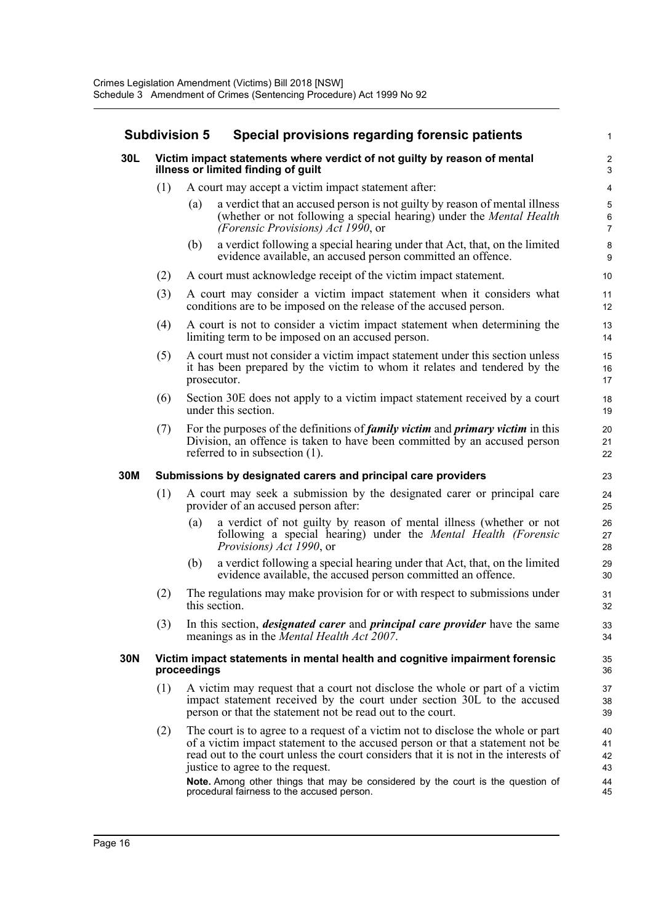| <b>Subdivision 5</b> |                                                                                                                        |             | Special provisions regarding forensic patients                                                                                                                                                                                                                                                                                                                                  |                                   |
|----------------------|------------------------------------------------------------------------------------------------------------------------|-------------|---------------------------------------------------------------------------------------------------------------------------------------------------------------------------------------------------------------------------------------------------------------------------------------------------------------------------------------------------------------------------------|-----------------------------------|
| 30L                  |                                                                                                                        |             | Victim impact statements where verdict of not guilty by reason of mental<br>illness or limited finding of guilt                                                                                                                                                                                                                                                                 | 2<br>З                            |
|                      | (1)                                                                                                                    |             | A court may accept a victim impact statement after:                                                                                                                                                                                                                                                                                                                             | $\overline{\mathcal{L}}$          |
|                      |                                                                                                                        | (a)         | a verdict that an accused person is not guilty by reason of mental illness<br>(whether or not following a special hearing) under the <i>Mental Health</i><br>(Forensic Provisions) Act 1990, or                                                                                                                                                                                 | ć<br>$\epsilon$<br>$\overline{7}$ |
|                      |                                                                                                                        | (b)         | a verdict following a special hearing under that Act, that, on the limited<br>evidence available, an accused person committed an offence.                                                                                                                                                                                                                                       | ε<br>ς                            |
|                      | (2)                                                                                                                    |             | A court must acknowledge receipt of the victim impact statement.                                                                                                                                                                                                                                                                                                                | 10                                |
|                      | (3)                                                                                                                    |             | A court may consider a victim impact statement when it considers what<br>conditions are to be imposed on the release of the accused person.                                                                                                                                                                                                                                     | 11<br>12                          |
|                      | (4)                                                                                                                    |             | A court is not to consider a victim impact statement when determining the<br>limiting term to be imposed on an accused person.                                                                                                                                                                                                                                                  | 13<br>14                          |
|                      | (5)                                                                                                                    |             | A court must not consider a victim impact statement under this section unless<br>it has been prepared by the victim to whom it relates and tendered by the<br>prosecutor.                                                                                                                                                                                                       | 15<br>16<br>17                    |
|                      | (6)                                                                                                                    |             | Section 30E does not apply to a victim impact statement received by a court<br>under this section.                                                                                                                                                                                                                                                                              | 18<br>1 <sup>c</sup>              |
|                      | (7)                                                                                                                    |             | For the purposes of the definitions of <i>family victim</i> and <i>primary victim</i> in this<br>Division, an offence is taken to have been committed by an accused person<br>referred to in subsection $(1)$ .                                                                                                                                                                 | 20<br>21<br>22                    |
| 30M                  |                                                                                                                        |             | Submissions by designated carers and principal care providers                                                                                                                                                                                                                                                                                                                   | 23                                |
|                      | (1)<br>A court may seek a submission by the designated carer or principal care<br>provider of an accused person after: |             |                                                                                                                                                                                                                                                                                                                                                                                 | 24<br>25                          |
|                      |                                                                                                                        | (a)         | a verdict of not guilty by reason of mental illness (whether or not<br>following a special hearing) under the Mental Health (Forensic<br>Provisions) Act 1990, or                                                                                                                                                                                                               | 26<br>27<br>28                    |
|                      |                                                                                                                        | (b)         | a verdict following a special hearing under that Act, that, on the limited<br>evidence available, the accused person committed an offence.                                                                                                                                                                                                                                      | 29<br>3 <sub>C</sub>              |
|                      | (2)                                                                                                                    |             | The regulations may make provision for or with respect to submissions under<br>this section.                                                                                                                                                                                                                                                                                    | 31<br>32                          |
|                      | (3)                                                                                                                    |             | In this section, <i>designated carer</i> and <i>principal care provider</i> have the same<br>meanings as in the <i>Mental Health Act</i> 2007.                                                                                                                                                                                                                                  | 33<br>34                          |
| 30N                  |                                                                                                                        | proceedings | Victim impact statements in mental health and cognitive impairment forensic                                                                                                                                                                                                                                                                                                     | 35<br>36                          |
|                      | (1)                                                                                                                    |             | A victim may request that a court not disclose the whole or part of a victim<br>impact statement received by the court under section 30L to the accused<br>person or that the statement not be read out to the court.                                                                                                                                                           | 37<br>38<br>39                    |
|                      | (2)                                                                                                                    |             | The court is to agree to a request of a victim not to disclose the whole or part<br>of a victim impact statement to the accused person or that a statement not be<br>read out to the court unless the court considers that it is not in the interests of<br>justice to agree to the request.<br>Note. Among other things that may be considered by the court is the question of | 40<br>41<br>42<br>43<br>44<br>45  |
|                      |                                                                                                                        |             | procedural fairness to the accused person.                                                                                                                                                                                                                                                                                                                                      |                                   |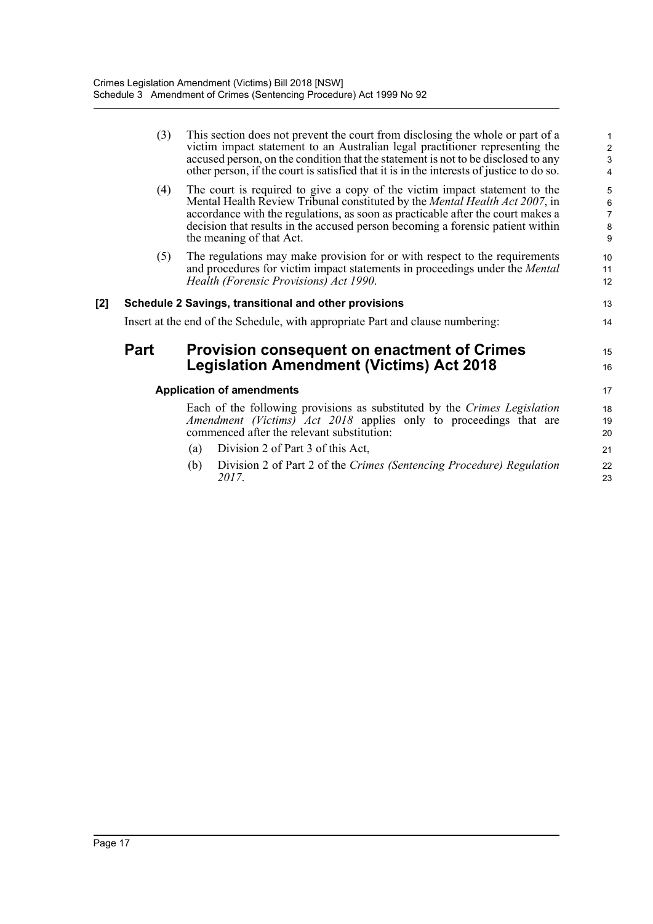|     | (3)  | This section does not prevent the court from disclosing the whole or part of a<br>victim impact statement to an Australian legal practitioner representing the<br>accused person, on the condition that the statement is not to be disclosed to any<br>other person, if the court is satisfied that it is in the interests of justice to do so.            | 1<br>$\overline{\mathbf{c}}$<br>$\overline{3}$<br>4 |
|-----|------|------------------------------------------------------------------------------------------------------------------------------------------------------------------------------------------------------------------------------------------------------------------------------------------------------------------------------------------------------------|-----------------------------------------------------|
|     | (4)  | The court is required to give a copy of the victim impact statement to the<br>Mental Health Review Tribunal constituted by the Mental Health Act 2007, in<br>accordance with the regulations, as soon as practicable after the court makes a<br>decision that results in the accused person becoming a forensic patient within<br>the meaning of that Act. | 5<br>$\boldsymbol{6}$<br>$\overline{7}$<br>8<br>9   |
|     | (5)  | The regulations may make provision for or with respect to the requirements<br>and procedures for victim impact statements in proceedings under the Mental<br>Health (Forensic Provisions) Act 1990.                                                                                                                                                        | 10<br>11<br>12                                      |
| [2] |      | Schedule 2 Savings, transitional and other provisions                                                                                                                                                                                                                                                                                                      | 13                                                  |
|     |      | Insert at the end of the Schedule, with appropriate Part and clause numbering:                                                                                                                                                                                                                                                                             | 14                                                  |
|     | Part | <b>Provision consequent on enactment of Crimes</b><br><b>Legislation Amendment (Victims) Act 2018</b>                                                                                                                                                                                                                                                      | 15<br>16                                            |
|     |      | <b>Application of amendments</b>                                                                                                                                                                                                                                                                                                                           | 17                                                  |
|     |      | Each of the following provisions as substituted by the Crimes Legislation<br>Amendment (Victims) Act 2018 applies only to proceedings that are<br>commenced after the relevant substitution:                                                                                                                                                               | 18<br>19<br>20                                      |
|     |      | Division 2 of Part 3 of this Act,<br>(a)                                                                                                                                                                                                                                                                                                                   | 21                                                  |
|     |      | Division 2 of Part 2 of the Crimes (Sentencing Procedure) Regulation<br>(b)<br>2017.                                                                                                                                                                                                                                                                       | 22<br>23                                            |
|     |      |                                                                                                                                                                                                                                                                                                                                                            |                                                     |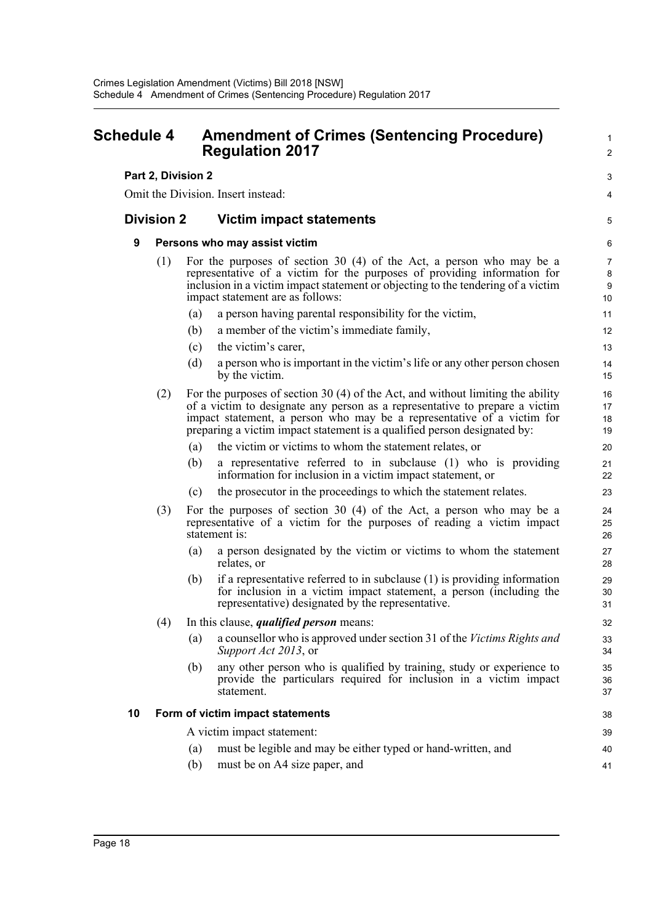<span id="page-25-0"></span>

| Schedule 4 |                                    |     | <b>Amendment of Crimes (Sentencing Procedure)</b><br><b>Regulation 2017</b>                                                                                                                                                                                                                                            |                                |  |
|------------|------------------------------------|-----|------------------------------------------------------------------------------------------------------------------------------------------------------------------------------------------------------------------------------------------------------------------------------------------------------------------------|--------------------------------|--|
|            |                                    |     | Part 2, Division 2                                                                                                                                                                                                                                                                                                     | 3                              |  |
|            | Omit the Division. Insert instead: |     |                                                                                                                                                                                                                                                                                                                        |                                |  |
|            | <b>Division 2</b>                  |     | Victim impact statements                                                                                                                                                                                                                                                                                               | 5                              |  |
|            | 9                                  |     | Persons who may assist victim                                                                                                                                                                                                                                                                                          | 6                              |  |
|            |                                    | (1) | For the purposes of section 30 $(4)$ of the Act, a person who may be a<br>representative of a victim for the purposes of providing information for<br>inclusion in a victim impact statement or objecting to the tendering of a victim<br>impact statement are as follows:                                             | $\overline{7}$<br>8<br>9<br>10 |  |
|            |                                    |     | a person having parental responsibility for the victim,<br>(a)                                                                                                                                                                                                                                                         | 11                             |  |
|            |                                    |     | a member of the victim's immediate family,<br>(b)                                                                                                                                                                                                                                                                      | 12                             |  |
|            |                                    |     | the victim's carer,<br>(c)                                                                                                                                                                                                                                                                                             | 13                             |  |
|            |                                    |     | a person who is important in the victim's life or any other person chosen<br>(d)<br>by the victim.                                                                                                                                                                                                                     | 14<br>15                       |  |
|            |                                    | (2) | For the purposes of section 30 $(4)$ of the Act, and without limiting the ability<br>of a victim to designate any person as a representative to prepare a victim<br>impact statement, a person who may be a representative of a victim for<br>preparing a victim impact statement is a qualified person designated by: | 16<br>17<br>18<br>19           |  |
|            |                                    |     | the victim or victims to whom the statement relates, or<br>(a)                                                                                                                                                                                                                                                         | 20                             |  |
|            |                                    |     | a representative referred to in subclause (1) who is providing<br>(b)<br>information for inclusion in a victim impact statement, or                                                                                                                                                                                    | 21<br>22                       |  |
|            |                                    |     | the prosecutor in the proceedings to which the statement relates.<br>(c)                                                                                                                                                                                                                                               | 23                             |  |
|            |                                    | (3) | For the purposes of section 30 $(4)$ of the Act, a person who may be a<br>representative of a victim for the purposes of reading a victim impact<br>statement is:                                                                                                                                                      | 24<br>25<br>26                 |  |
|            |                                    |     | a person designated by the victim or victims to whom the statement<br>(a)<br>relates, or                                                                                                                                                                                                                               | 27<br>28                       |  |
|            |                                    |     | if a representative referred to in subclause $(1)$ is providing information<br>(b)<br>for inclusion in a victim impact statement, a person (including the<br>representative) designated by the representative.                                                                                                         | 29<br>30<br>31                 |  |
|            |                                    | (4) | In this clause, <i>qualified person</i> means:                                                                                                                                                                                                                                                                         | 32                             |  |
|            |                                    |     | a counsellor who is approved under section 31 of the Victims Rights and<br>(a)<br>Support Act 2013, or                                                                                                                                                                                                                 | 33<br>34                       |  |
|            |                                    |     | any other person who is qualified by training, study or experience to<br>(b)<br>provide the particulars required for inclusion in a victim impact<br>statement.                                                                                                                                                        | 35<br>36<br>37                 |  |
|            | 10                                 |     | Form of victim impact statements                                                                                                                                                                                                                                                                                       | 38                             |  |
|            |                                    |     | A victim impact statement:                                                                                                                                                                                                                                                                                             | 39                             |  |
|            |                                    |     | must be legible and may be either typed or hand-written, and<br>(a)                                                                                                                                                                                                                                                    | 40                             |  |
|            |                                    |     | (b)<br>must be on A4 size paper, and                                                                                                                                                                                                                                                                                   | 41                             |  |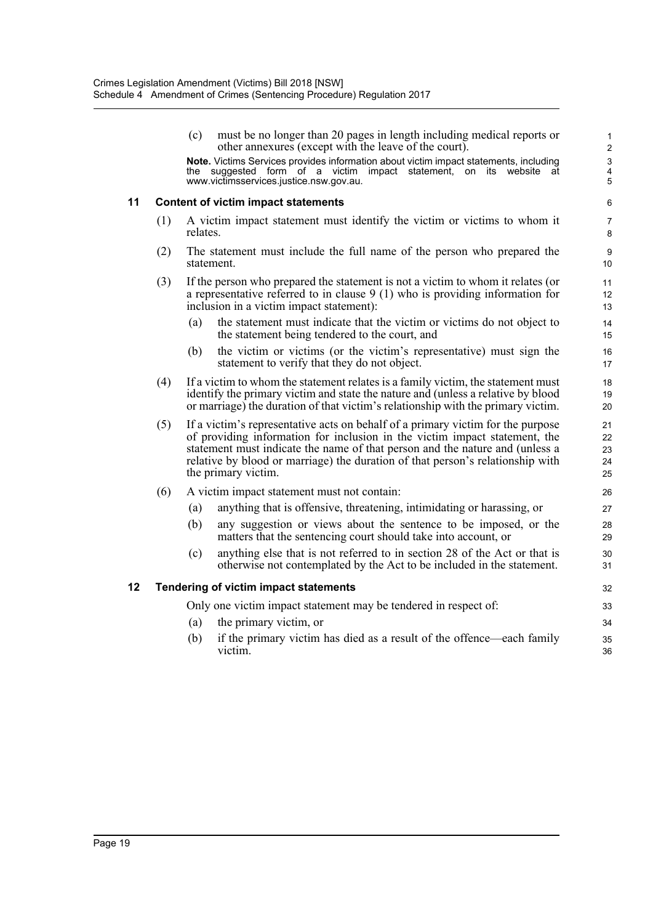www.victimsservices.justice.nsw.gov.au. 5

(c) must be no longer than 20 pages in length including medical reports or 1 other annexures (except with the leave of the court). 2 **Note.** Victims Services provides information about victim impact statements, including 3 the suggested form of a victim impact statement, on its website at 4<br>www.victimsservices.justice.nsw.gov.au.

#### **11 Content of victim impact statements** 6

- (1) A victim impact statement must identify the victim or victims to whom it 7 relates.
- (2) The statement must include the full name of the person who prepared the 9 statement. 10
- (3) If the person who prepared the statement is not a victim to whom it relates (or 11 a representative referred to in clause 9 (1) who is providing information for 12 inclusion in a victim impact statement): 13
	- (a) the statement must indicate that the victim or victims do not object to 14 the statement being tendered to the court, and 15
	- (b) the victim or victims (or the victim's representative) must sign the 16 statement to verify that they do not object. 17
- (4) If a victim to whom the statement relates is a family victim, the statement must 18 identify the primary victim and state the nature and (unless a relative by blood 19 or marriage) the duration of that victim's relationship with the primary victim. 20
- (5) If a victim's representative acts on behalf of a primary victim for the purpose 21 of providing information for inclusion in the victim impact statement, the 22 statement must indicate the name of that person and the nature and (unless a 23 relative by blood or marriage) the duration of that person's relationship with 24 the primary victim. 25
- (6) A victim impact statement must not contain: 26
	- (a) anything that is offensive, threatening, intimidating or harassing, or 27
	- (b) any suggestion or views about the sentence to be imposed, or the 28 matters that the sentencing court should take into account, or 29
	- (c) anything else that is not referred to in section 28 of the Act or that is 30 otherwise not contemplated by the Act to be included in the statement. 31

#### **12 Tendering of victim impact statements** 32

Only one victim impact statement may be tendered in respect of: 33

- (a) the primary victim, or 34
- (b) if the primary victim has died as a result of the offence—each family 35 victim. 36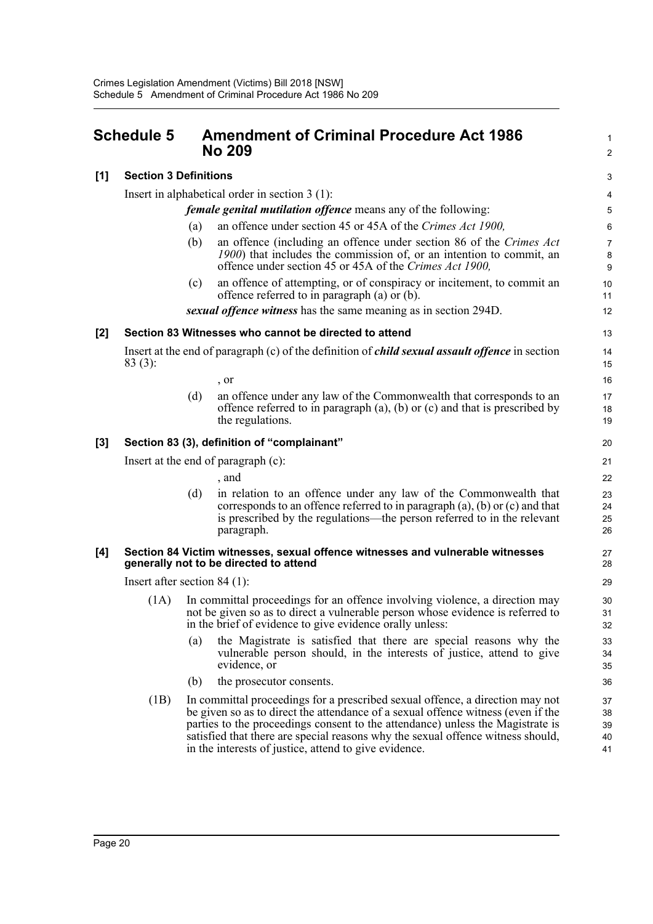<span id="page-27-0"></span>

| <b>Schedule 5</b> |                                                                      | <b>Amendment of Criminal Procedure Act 1986</b><br><b>No 209</b> |                                                                                                                                                                                                                                                                                                                                                                                                 |                            |  |  |
|-------------------|----------------------------------------------------------------------|------------------------------------------------------------------|-------------------------------------------------------------------------------------------------------------------------------------------------------------------------------------------------------------------------------------------------------------------------------------------------------------------------------------------------------------------------------------------------|----------------------------|--|--|
| [1]               | <b>Section 3 Definitions</b>                                         |                                                                  |                                                                                                                                                                                                                                                                                                                                                                                                 |                            |  |  |
|                   | Insert in alphabetical order in section $3(1)$ :                     |                                                                  |                                                                                                                                                                                                                                                                                                                                                                                                 |                            |  |  |
|                   | <i>female genital mutilation offence</i> means any of the following: |                                                                  |                                                                                                                                                                                                                                                                                                                                                                                                 |                            |  |  |
|                   |                                                                      | (a)                                                              | an offence under section 45 or 45A of the Crimes Act 1900,                                                                                                                                                                                                                                                                                                                                      | $\epsilon$                 |  |  |
|                   |                                                                      | (b)                                                              | an offence (including an offence under section 86 of the Crimes Act<br>1900) that includes the commission of, or an intention to commit, an<br>offence under section 45 or 45A of the Crimes Act 1900,                                                                                                                                                                                          | 7<br>ε<br>$\epsilon$       |  |  |
|                   |                                                                      | (c)                                                              | an offence of attempting, or of conspiracy or incitement, to commit an<br>offence referred to in paragraph (a) or (b).                                                                                                                                                                                                                                                                          | 10<br>11                   |  |  |
|                   |                                                                      |                                                                  | sexual offence witness has the same meaning as in section 294D.                                                                                                                                                                                                                                                                                                                                 | 12                         |  |  |
| [2]               | Section 83 Witnesses who cannot be directed to attend                |                                                                  |                                                                                                                                                                                                                                                                                                                                                                                                 |                            |  |  |
|                   | $83(3)$ :                                                            |                                                                  | Insert at the end of paragraph (c) of the definition of <i>child sexual assault offence</i> in section                                                                                                                                                                                                                                                                                          | 14<br>15                   |  |  |
|                   |                                                                      |                                                                  | , or                                                                                                                                                                                                                                                                                                                                                                                            | 16                         |  |  |
|                   |                                                                      | (d)                                                              | an offence under any law of the Commonwealth that corresponds to an<br>offence referred to in paragraph $(a)$ , $(b)$ or $(c)$ and that is prescribed by<br>the regulations.                                                                                                                                                                                                                    | 17<br>18<br>19             |  |  |
| $[3]$             | Section 83 (3), definition of "complainant"                          |                                                                  |                                                                                                                                                                                                                                                                                                                                                                                                 |                            |  |  |
|                   | Insert at the end of paragraph (c):                                  |                                                                  |                                                                                                                                                                                                                                                                                                                                                                                                 |                            |  |  |
|                   |                                                                      |                                                                  | , and                                                                                                                                                                                                                                                                                                                                                                                           | 22                         |  |  |
|                   |                                                                      | (d)                                                              | in relation to an offence under any law of the Commonwealth that<br>corresponds to an offence referred to in paragraph $(a)$ , $(b)$ or $(c)$ and that<br>is prescribed by the regulations—the person referred to in the relevant<br>paragraph.                                                                                                                                                 | 23<br>24<br>25<br>26       |  |  |
| [4]               |                                                                      |                                                                  | Section 84 Victim witnesses, sexual offence witnesses and vulnerable witnesses<br>generally not to be directed to attend                                                                                                                                                                                                                                                                        | 27<br>28                   |  |  |
|                   | Insert after section $84$ (1):                                       |                                                                  |                                                                                                                                                                                                                                                                                                                                                                                                 |                            |  |  |
|                   | (1A)                                                                 |                                                                  | In committal proceedings for an offence involving violence, a direction may<br>not be given so as to direct a vulnerable person whose evidence is referred to<br>in the brief of evidence to give evidence orally unless:                                                                                                                                                                       | 30<br>31<br>32             |  |  |
|                   |                                                                      | (a)                                                              | the Magistrate is satisfied that there are special reasons why the<br>vulnerable person should, in the interests of justice, attend to give<br>evidence, or                                                                                                                                                                                                                                     | 33<br>34<br>35             |  |  |
|                   |                                                                      | (b)                                                              | the prosecutor consents.                                                                                                                                                                                                                                                                                                                                                                        | 36                         |  |  |
|                   | (1B)                                                                 |                                                                  | In committal proceedings for a prescribed sexual offence, a direction may not<br>be given so as to direct the attendance of a sexual offence witness (even if the<br>parties to the proceedings consent to the attendance) unless the Magistrate is<br>satisfied that there are special reasons why the sexual offence witness should,<br>in the interests of justice, attend to give evidence. | 37<br>38<br>39<br>40<br>41 |  |  |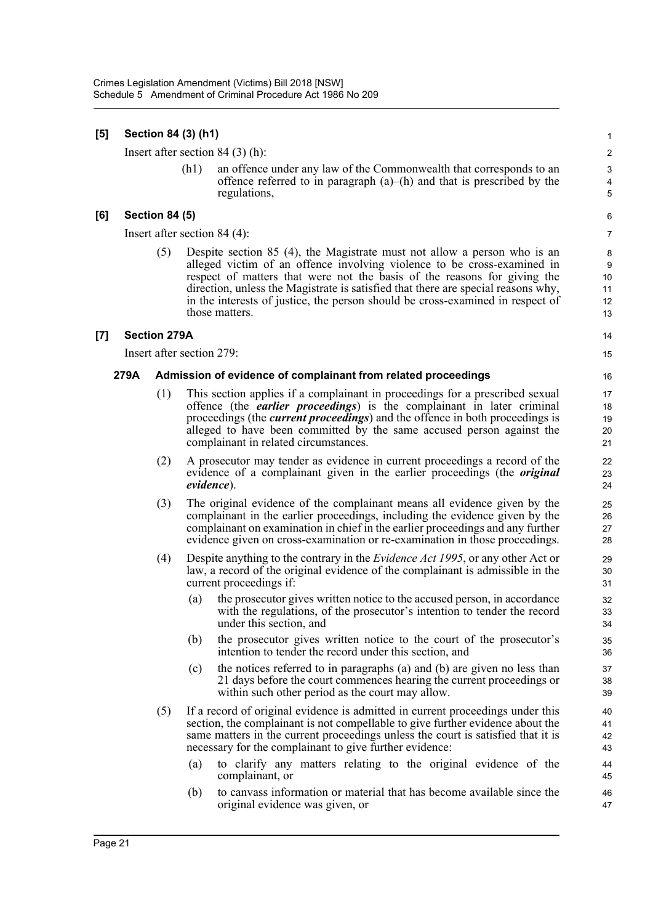## **[5] Section 84 (3) (h1)** 1 Insert after section 84 (3) (h): 2 (h1) an offence under any law of the Commonwealth that corresponds to an 3 offence referred to in paragraph  $(a)$ – $(h)$  and that is prescribed by the 4 regulations, 5 **[6] Section 84 (5)** 6 Insert after section 84 (4): 7 (5) Despite section 85 (4), the Magistrate must not allow a person who is an 8 alleged victim of an offence involving violence to be cross-examined in 9 respect of matters that were not the basis of the reasons for giving the 10 direction, unless the Magistrate is satisfied that there are special reasons why, 11 in the interests of justice, the person should be cross-examined in respect of 12 those matters. 13 **[7] Section 279A** 14 Insert after section 279: 15 **279A Admission of evidence of complainant from related proceedings** 16 (1) This section applies if a complainant in proceedings for a prescribed sexual 17 offence (the *earlier proceedings*) is the complainant in later criminal 18 proceedings (the *current proceedings*) and the offence in both proceedings is 19 alleged to have been committed by the same accused person against the 20 complainant in related circumstances. 21 (2) A prosecutor may tender as evidence in current proceedings a record of the 22 evidence of a complainant given in the earlier proceedings (the *original* 23 *evidence*). 24 (3) The original evidence of the complainant means all evidence given by the 25 complainant in the earlier proceedings, including the evidence given by the 26 complainant on examination in chief in the earlier proceedings and any further 27 evidence given on cross-examination or re-examination in those proceedings. 28 (4) Despite anything to the contrary in the *Evidence Act 1995*, or any other Act or 29 law, a record of the original evidence of the complainant is admissible in the 30 current proceedings if: 31 (a) the prosecutor gives written notice to the accused person, in accordance 32 with the regulations, of the prosecutor's intention to tender the record 33 under this section, and 34 (b) the prosecutor gives written notice to the court of the prosecutor's 35 intention to tender the record under this section, and 36 (c) the notices referred to in paragraphs (a) and (b) are given no less than 37 21 days before the court commences hearing the current proceedings or 38 within such other period as the court may allow. 39 (5) If a record of original evidence is admitted in current proceedings under this 40 section, the complainant is not compellable to give further evidence about the 41 same matters in the current proceedings unless the court is satisfied that it is  $\frac{42}{100}$ necessary for the complainant to give further evidence: 43 (a) to clarify any matters relating to the original evidence of the 44 complainant, or  $\frac{45}{45}$ (b) to canvass information or material that has become available since the 46 original evidence was given, or 47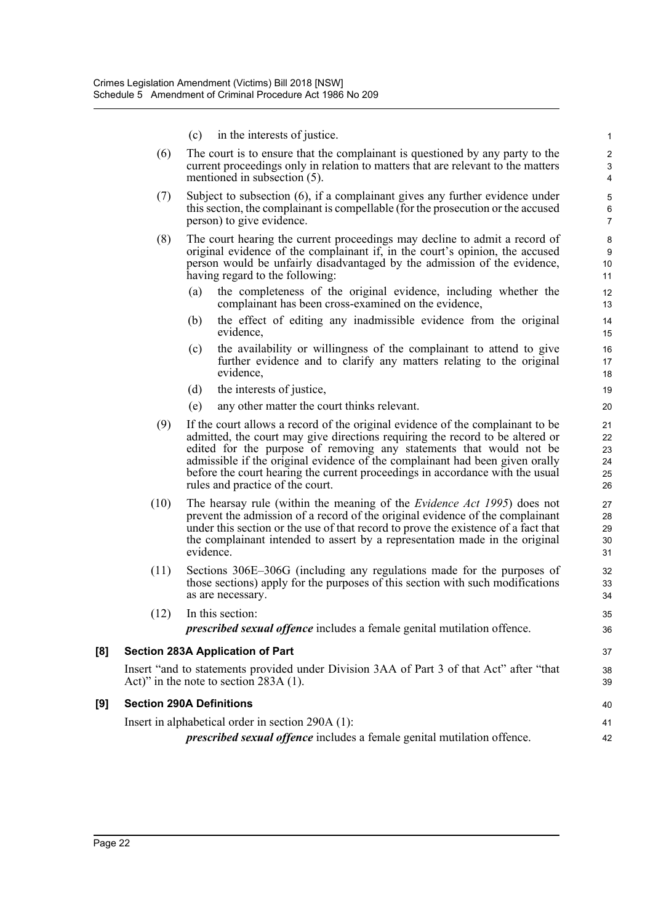- $\alpha$  in the interests of justice.
- (6) The court is to ensure that the complainant is questioned by any party to the 2 current proceedings only in relation to matters that are relevant to the matters  $\frac{3}{2}$ mentioned in subsection (5). 4
- (7) Subject to subsection (6), if a complainant gives any further evidence under 5 this section, the complainant is compellable (for the prosecution or the accused 6 person) to give evidence. 7
- (8) The court hearing the current proceedings may decline to admit a record of 8 original evidence of the complainant if, in the court's opinion, the accused 9 person would be unfairly disadvantaged by the admission of the evidence, 10 having regard to the following: 11
	- (a) the completeness of the original evidence, including whether the 12 complainant has been cross-examined on the evidence, 13
	- (b) the effect of editing any inadmissible evidence from the original 14 evidence, 15
	- (c) the availability or willingness of the complainant to attend to give 16 further evidence and to clarify any matters relating to the original 17 evidence, 18
	- (d) the interests of justice, 19
	- (e) any other matter the court thinks relevant. 20
- (9) If the court allows a record of the original evidence of the complainant to be 21 admitted, the court may give directions requiring the record to be altered or 22 edited for the purpose of removing any statements that would not be 23 admissible if the original evidence of the complainant had been given orally 24 before the court hearing the current proceedings in accordance with the usual 25 rules and practice of the court. 26
- (10) The hearsay rule (within the meaning of the *Evidence Act 1995*) does not 27 prevent the admission of a record of the original evidence of the complainant 28 under this section or the use of that record to prove the existence of a fact that 29 the complainant intended to assert by a representation made in the original 30 evidence. 31
- (11) Sections 306E–306G (including any regulations made for the purposes of 32 those sections) apply for the purposes of this section with such modifications 33 as are necessary.  $\frac{34}{2}$
- (12) In this section: 35 *prescribed sexual offence* includes a female genital mutilation offence. 36

## **[8] Section 283A Application of Part** 37

Insert "and to statements provided under Division 3AA of Part 3 of that Act" after "that 38 Act)" in the note to section  $283A(1)$ . 39

### **[9] Section 290A Definitions** 40

Insert in alphabetical order in section 290A (1): 41

*prescribed sexual offence* includes a female genital mutilation offence.  $42$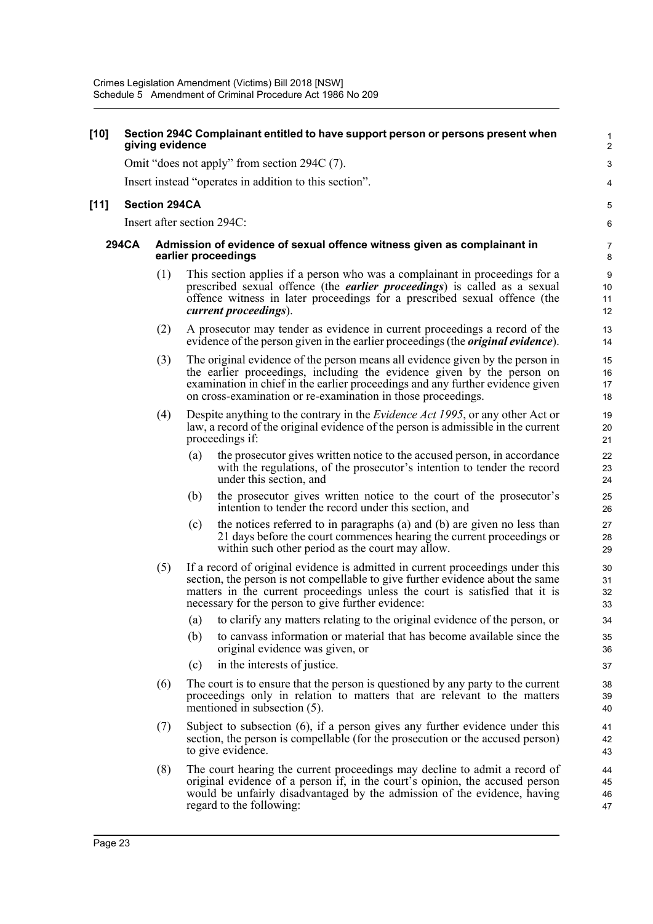#### **[10] Section 294C Complainant entitled to have support person or persons present when** 1 **giving evidence** 2

Omit "does not apply" from section 294C (7).

Insert instead "operates in addition to this section". 4

#### **[11] Section 294CA** 5

Insert after section 294C: 6

#### **294CA Admission of evidence of sexual offence witness given as complainant in** 7 **earlier proceedings** 8

- (1) This section applies if a person who was a complainant in proceedings for a 9 prescribed sexual offence (the *earlier proceedings*) is called as a sexual 10 offence witness in later proceedings for a prescribed sexual offence (the 11 *current proceedings*). 12
- (2) A prosecutor may tender as evidence in current proceedings a record of the 13 evidence of the person given in the earlier proceedings (the *original evidence*). 14
- (3) The original evidence of the person means all evidence given by the person in 15 the earlier proceedings, including the evidence given by the person on 16 examination in chief in the earlier proceedings and any further evidence given 17 on cross-examination or re-examination in those proceedings. 18
- (4) Despite anything to the contrary in the *Evidence Act 1995*, or any other Act or 19 law, a record of the original evidence of the person is admissible in the current 20 proceedings if: 21
	- (a) the prosecutor gives written notice to the accused person, in accordance 22 with the regulations, of the prosecutor's intention to tender the record 23 under this section, and 24
	- (b) the prosecutor gives written notice to the court of the prosecutor's 25 intention to tender the record under this section, and 26
	- (c) the notices referred to in paragraphs (a) and (b) are given no less than 27 21 days before the court commences hearing the current proceedings or 28 within such other period as the court may allow. 29
- (5) If a record of original evidence is admitted in current proceedings under this 30 section, the person is not compellable to give further evidence about the same 31 matters in the current proceedings unless the court is satisfied that it is 32 necessary for the person to give further evidence: 33
	- (a) to clarify any matters relating to the original evidence of the person, or 34
	- (b) to canvass information or material that has become available since the 35 original evidence was given, or 36
	- (c) in the interests of justice. 37
- (6) The court is to ensure that the person is questioned by any party to the current 38 proceedings only in relation to matters that are relevant to the matters 39 mentioned in subsection (5). 40
- (7) Subject to subsection (6), if a person gives any further evidence under this 41 section, the person is compellable (for the prosecution or the accused person) 42 to give evidence. 43
- (8) The court hearing the current proceedings may decline to admit a record of 44 original evidence of a person if, in the court's opinion, the accused person 45 would be unfairly disadvantaged by the admission of the evidence, having  $\frac{46}{4}$ regard to the following: 47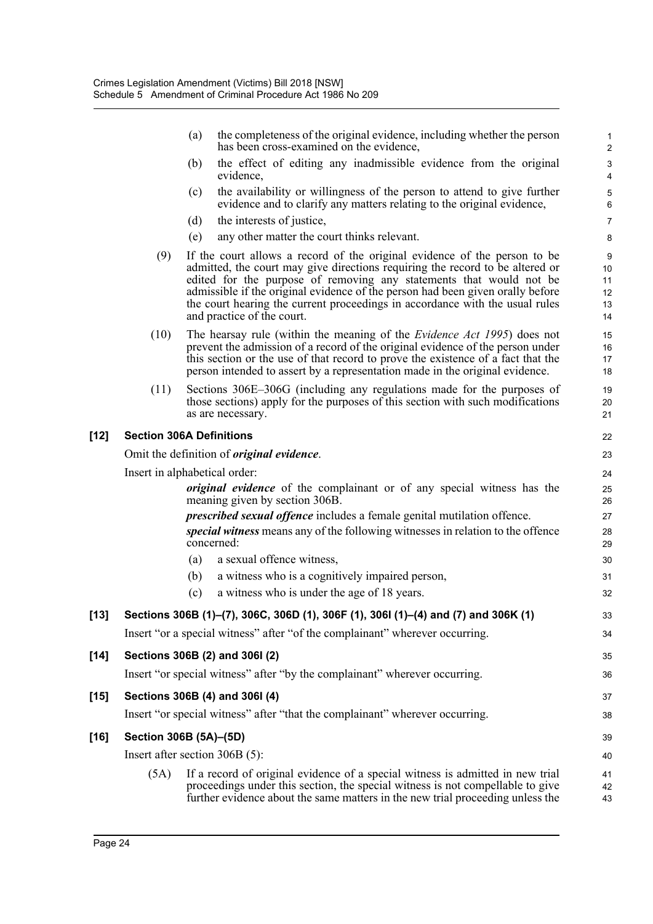|        |                                                                              | (a)                                                                                                                                                                                                                                                                                                                                                                                                                               | the completeness of the original evidence, including whether the person<br>has been cross-examined on the evidence,                                                                                                                                                                                                           | 2                               |  |
|--------|------------------------------------------------------------------------------|-----------------------------------------------------------------------------------------------------------------------------------------------------------------------------------------------------------------------------------------------------------------------------------------------------------------------------------------------------------------------------------------------------------------------------------|-------------------------------------------------------------------------------------------------------------------------------------------------------------------------------------------------------------------------------------------------------------------------------------------------------------------------------|---------------------------------|--|
|        |                                                                              | (b)<br>evidence,                                                                                                                                                                                                                                                                                                                                                                                                                  | the effect of editing any inadmissible evidence from the original                                                                                                                                                                                                                                                             | ŝ<br>4                          |  |
|        |                                                                              | (c)                                                                                                                                                                                                                                                                                                                                                                                                                               | the availability or willingness of the person to attend to give further<br>evidence and to clarify any matters relating to the original evidence,                                                                                                                                                                             | ć<br>б                          |  |
|        |                                                                              | the interests of justice,<br>(d)                                                                                                                                                                                                                                                                                                                                                                                                  |                                                                                                                                                                                                                                                                                                                               | 7                               |  |
|        |                                                                              | (e)                                                                                                                                                                                                                                                                                                                                                                                                                               | any other matter the court thinks relevant.                                                                                                                                                                                                                                                                                   | ε                               |  |
|        | (9)                                                                          | If the court allows a record of the original evidence of the person to be<br>admitted, the court may give directions requiring the record to be altered or<br>edited for the purpose of removing any statements that would not be<br>admissible if the original evidence of the person had been given orally before<br>the court hearing the current proceedings in accordance with the usual rules<br>and practice of the court. |                                                                                                                                                                                                                                                                                                                               | ς<br>10<br>11<br>12<br>13<br>14 |  |
|        | (10)                                                                         |                                                                                                                                                                                                                                                                                                                                                                                                                                   | The hearsay rule (within the meaning of the Evidence Act 1995) does not<br>prevent the admission of a record of the original evidence of the person under<br>this section or the use of that record to prove the existence of a fact that the<br>person intended to assert by a representation made in the original evidence. | 15<br>16<br>17<br>18            |  |
|        | (11)                                                                         | as are necessary.                                                                                                                                                                                                                                                                                                                                                                                                                 | Sections 306E-306G (including any regulations made for the purposes of<br>those sections) apply for the purposes of this section with such modifications                                                                                                                                                                      | 1 <sup>c</sup><br>20<br>21      |  |
| [12]   |                                                                              | <b>Section 306A Definitions</b>                                                                                                                                                                                                                                                                                                                                                                                                   |                                                                                                                                                                                                                                                                                                                               | 22                              |  |
|        |                                                                              | Omit the definition of <i>original evidence</i> .                                                                                                                                                                                                                                                                                                                                                                                 |                                                                                                                                                                                                                                                                                                                               | 23                              |  |
|        |                                                                              | Insert in alphabetical order:                                                                                                                                                                                                                                                                                                                                                                                                     |                                                                                                                                                                                                                                                                                                                               | 24                              |  |
|        |                                                                              | meaning given by section 306B.                                                                                                                                                                                                                                                                                                                                                                                                    | original evidence of the complainant or of any special witness has the                                                                                                                                                                                                                                                        | 25<br>26                        |  |
|        |                                                                              | concerned:                                                                                                                                                                                                                                                                                                                                                                                                                        | <i>prescribed sexual offence</i> includes a female genital mutilation offence.<br>special witness means any of the following witnesses in relation to the offence                                                                                                                                                             | 27<br>28<br>29                  |  |
|        |                                                                              | (a)<br>a sexual offence witness,                                                                                                                                                                                                                                                                                                                                                                                                  |                                                                                                                                                                                                                                                                                                                               | 3 <sub>C</sub>                  |  |
|        |                                                                              | (b)                                                                                                                                                                                                                                                                                                                                                                                                                               | a witness who is a cognitively impaired person,                                                                                                                                                                                                                                                                               | 31                              |  |
|        |                                                                              | (c)                                                                                                                                                                                                                                                                                                                                                                                                                               | a witness who is under the age of 18 years.                                                                                                                                                                                                                                                                                   | 32                              |  |
| [13]   |                                                                              |                                                                                                                                                                                                                                                                                                                                                                                                                                   | Sections 306B (1)-(7), 306C, 306D (1), 306F (1), 306I (1)-(4) and (7) and 306K (1)                                                                                                                                                                                                                                            | 33                              |  |
|        |                                                                              |                                                                                                                                                                                                                                                                                                                                                                                                                                   | Insert "or a special witness" after "of the complainant" wherever occurring.                                                                                                                                                                                                                                                  | 34                              |  |
| $[14]$ |                                                                              | Sections 306B (2) and 306I (2)                                                                                                                                                                                                                                                                                                                                                                                                    |                                                                                                                                                                                                                                                                                                                               | 35                              |  |
|        |                                                                              |                                                                                                                                                                                                                                                                                                                                                                                                                                   | Insert "or special witness" after "by the complainant" wherever occurring.                                                                                                                                                                                                                                                    | 36                              |  |
| $[15]$ | Sections 306B (4) and 306I (4)                                               |                                                                                                                                                                                                                                                                                                                                                                                                                                   |                                                                                                                                                                                                                                                                                                                               |                                 |  |
|        | Insert "or special witness" after "that the complainant" wherever occurring. |                                                                                                                                                                                                                                                                                                                                                                                                                                   |                                                                                                                                                                                                                                                                                                                               |                                 |  |
| [16]   | Section 306B (5A)-(5D)                                                       |                                                                                                                                                                                                                                                                                                                                                                                                                                   |                                                                                                                                                                                                                                                                                                                               | 39                              |  |
|        |                                                                              | Insert after section 306B (5):                                                                                                                                                                                                                                                                                                                                                                                                    |                                                                                                                                                                                                                                                                                                                               | 40                              |  |
|        | (5A)                                                                         |                                                                                                                                                                                                                                                                                                                                                                                                                                   | If a record of original evidence of a special witness is admitted in new trial<br>proceedings under this section, the special witness is not compellable to give<br>further evidence about the same matters in the new trial proceeding unless the                                                                            | 41<br>42<br>43                  |  |
|        |                                                                              |                                                                                                                                                                                                                                                                                                                                                                                                                                   |                                                                                                                                                                                                                                                                                                                               |                                 |  |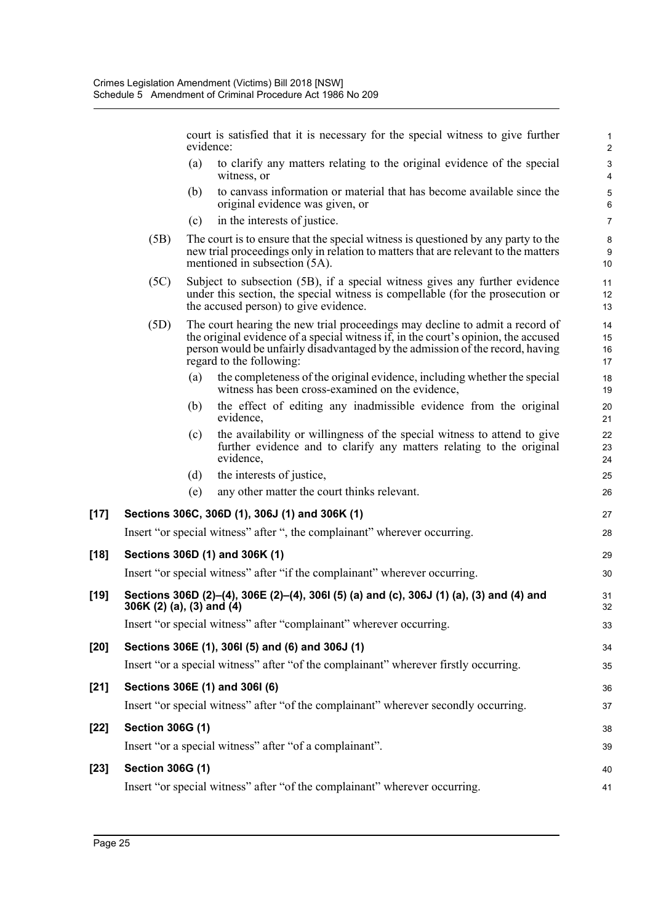court is satisfied that it is necessary for the special witness to give further 1 evidence: 2

- (a) to clarify any matters relating to the original evidence of the special 3 witness, or 4
- (b) to canvass information or material that has become available since the 5 original evidence was given, or 6
- (c) in the interests of justice. 7
- (5B) The court is to ensure that the special witness is questioned by any party to the 8 new trial proceedings only in relation to matters that are relevant to the matters 9 mentioned in subsection  $(5A)$ . 10
- (5C) Subject to subsection (5B), if a special witness gives any further evidence 11 under this section, the special witness is compellable (for the prosecution or 12 the accused person) to give evidence. 13
- (5D) The court hearing the new trial proceedings may decline to admit a record of 14 the original evidence of a special witness if, in the court's opinion, the accused 15 person would be unfairly disadvantaged by the admission of the record, having 16 regard to the following: 17
	- (a) the completeness of the original evidence, including whether the special 18 witness has been cross-examined on the evidence, 19
	- (b) the effect of editing any inadmissible evidence from the original 20 evidence, 21
	- (c) the availability or willingness of the special witness to attend to give 22 further evidence and to clarify any matters relating to the original 23 evidence, 24
	- (d) the interests of justice, 25
	- (e) any other matter the court thinks relevant. 26

## **[17] Sections 306C, 306D (1), 306J (1) and 306K (1)** 27

Insert "or special witness" after ", the complainant" wherever occurring. 28

# **[18] Sections 306D (1) and 306K (1)** 29 Insert "or special witness" after "if the complainant" wherever occurring. 30 **[19] Sections 306D (2)–(4), 306E (2)–(4), 306I (5) (a) and (c), 306J (1) (a), (3) and (4) and** 31 **306K (2) (a), (3) and (4)** 32

Insert "or special witness" after "complainant" wherever occurring. 33

# **[20] Sections 306E (1), 306I (5) and (6) and 306J (1)** 34 Insert "or a special witness" after "of the complainant" wherever firstly occurring. 35 **[21] Sections 306E (1) and 306I (6)** 36 Insert "or special witness" after "of the complainant" wherever secondly occurring. 37 **[22] Section 306G (1)** 38

Insert "or a special witness" after "of a complainant". 39

## **[23] Section 306G (1)** 40

Insert "or special witness" after "of the complainant" wherever occurring. 41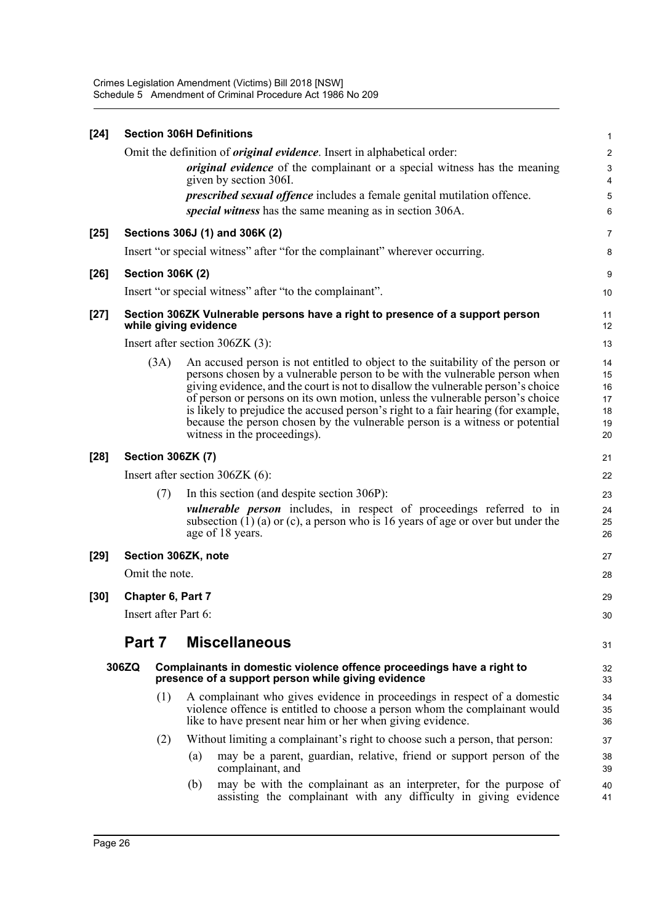| $[24]$ | <b>Section 306H Definitions</b>                                                                        |                         |     |                                                                                                                                                                                                                                                                                                                                                                                                                                                                                                                                          |                                        |  |
|--------|--------------------------------------------------------------------------------------------------------|-------------------------|-----|------------------------------------------------------------------------------------------------------------------------------------------------------------------------------------------------------------------------------------------------------------------------------------------------------------------------------------------------------------------------------------------------------------------------------------------------------------------------------------------------------------------------------------------|----------------------------------------|--|
|        |                                                                                                        |                         |     | Omit the definition of <i>original evidence</i> . Insert in alphabetical order:                                                                                                                                                                                                                                                                                                                                                                                                                                                          | 2                                      |  |
|        |                                                                                                        |                         |     | <i>original evidence</i> of the complainant or a special witness has the meaning                                                                                                                                                                                                                                                                                                                                                                                                                                                         |                                        |  |
|        |                                                                                                        |                         |     | given by section 306I.                                                                                                                                                                                                                                                                                                                                                                                                                                                                                                                   | 4                                      |  |
|        |                                                                                                        |                         |     | <i>prescribed sexual offence</i> includes a female genital mutilation offence.<br>special witness has the same meaning as in section 306A.                                                                                                                                                                                                                                                                                                                                                                                               |                                        |  |
|        |                                                                                                        |                         |     |                                                                                                                                                                                                                                                                                                                                                                                                                                                                                                                                          | Е                                      |  |
| $[25]$ |                                                                                                        |                         |     | Sections 306J (1) and 306K (2)                                                                                                                                                                                                                                                                                                                                                                                                                                                                                                           | 7                                      |  |
|        |                                                                                                        |                         |     | Insert "or special witness" after "for the complainant" wherever occurring.                                                                                                                                                                                                                                                                                                                                                                                                                                                              | ε                                      |  |
| $[26]$ |                                                                                                        | <b>Section 306K (2)</b> |     |                                                                                                                                                                                                                                                                                                                                                                                                                                                                                                                                          | ς                                      |  |
|        |                                                                                                        |                         |     | Insert "or special witness" after "to the complainant".                                                                                                                                                                                                                                                                                                                                                                                                                                                                                  | 10                                     |  |
| $[27]$ | Section 306ZK Vulnerable persons have a right to presence of a support person<br>while giving evidence |                         |     |                                                                                                                                                                                                                                                                                                                                                                                                                                                                                                                                          | 11<br>12                               |  |
|        |                                                                                                        |                         |     | Insert after section $306ZK$ (3):                                                                                                                                                                                                                                                                                                                                                                                                                                                                                                        | 13                                     |  |
|        |                                                                                                        | (3A)                    |     | An accused person is not entitled to object to the suitability of the person or<br>persons chosen by a vulnerable person to be with the vulnerable person when<br>giving evidence, and the court is not to disallow the vulnerable person's choice<br>of person or persons on its own motion, unless the vulnerable person's choice<br>is likely to prejudice the accused person's right to a fair hearing (for example,<br>because the person chosen by the vulnerable person is a witness or potential<br>witness in the proceedings). | 14<br>15<br>16<br>17<br>18<br>19<br>20 |  |
| $[28]$ | <b>Section 306ZK (7)</b>                                                                               |                         |     |                                                                                                                                                                                                                                                                                                                                                                                                                                                                                                                                          |                                        |  |
|        |                                                                                                        |                         |     | Insert after section $306ZK(6)$ :                                                                                                                                                                                                                                                                                                                                                                                                                                                                                                        | 22                                     |  |
|        |                                                                                                        | (7)                     |     | In this section (and despite section 306P):                                                                                                                                                                                                                                                                                                                                                                                                                                                                                              | 23                                     |  |
|        |                                                                                                        |                         |     | <i>vulnerable person</i> includes, in respect of proceedings referred to in<br>subsection $(\overline{1})$ (a) or (c), a person who is 16 years of age or over but under the<br>age of 18 years.                                                                                                                                                                                                                                                                                                                                         | 24<br>25<br>26                         |  |
| $[29]$ | Section 306ZK, note                                                                                    |                         |     |                                                                                                                                                                                                                                                                                                                                                                                                                                                                                                                                          |                                        |  |
|        | Omit the note.                                                                                         |                         |     |                                                                                                                                                                                                                                                                                                                                                                                                                                                                                                                                          |                                        |  |
| $[30]$ |                                                                                                        |                         |     |                                                                                                                                                                                                                                                                                                                                                                                                                                                                                                                                          | 29                                     |  |
|        | Chapter 6, Part 7<br>Insert after Part 6:                                                              |                         |     |                                                                                                                                                                                                                                                                                                                                                                                                                                                                                                                                          |                                        |  |
|        |                                                                                                        |                         |     |                                                                                                                                                                                                                                                                                                                                                                                                                                                                                                                                          | 3 <sub>C</sub>                         |  |
|        | Part 7                                                                                                 |                         |     | <b>Miscellaneous</b>                                                                                                                                                                                                                                                                                                                                                                                                                                                                                                                     | 31                                     |  |
|        | 306ZQ                                                                                                  |                         |     | Complainants in domestic violence offence proceedings have a right to<br>presence of a support person while giving evidence                                                                                                                                                                                                                                                                                                                                                                                                              | 32<br>33                               |  |
|        |                                                                                                        | (1)                     |     | A complainant who gives evidence in proceedings in respect of a domestic<br>violence offence is entitled to choose a person whom the complainant would<br>like to have present near him or her when giving evidence.                                                                                                                                                                                                                                                                                                                     | 34<br>35<br>36                         |  |
|        |                                                                                                        | (2)                     |     | Without limiting a complainant's right to choose such a person, that person:                                                                                                                                                                                                                                                                                                                                                                                                                                                             | 37                                     |  |
|        |                                                                                                        |                         | (a) | may be a parent, guardian, relative, friend or support person of the<br>complainant, and                                                                                                                                                                                                                                                                                                                                                                                                                                                 | 38<br>39                               |  |
|        |                                                                                                        |                         | (b) | may be with the complainant as an interpreter, for the purpose of<br>assisting the complainant with any difficulty in giving evidence                                                                                                                                                                                                                                                                                                                                                                                                    | 40<br>41                               |  |
|        |                                                                                                        |                         |     |                                                                                                                                                                                                                                                                                                                                                                                                                                                                                                                                          |                                        |  |